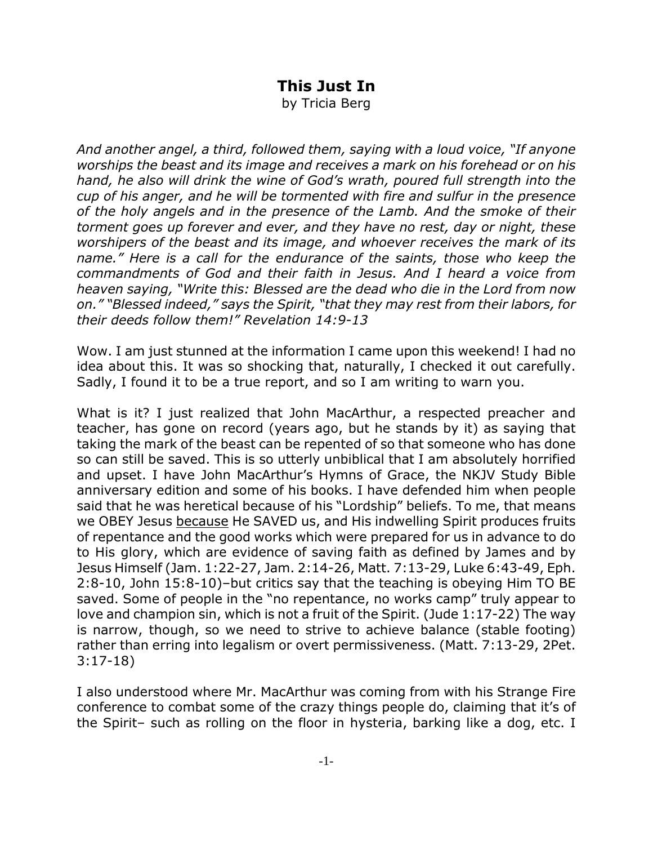## **This Just In**

by Tricia Berg

*And another angel, a third, followed them, saying with a loud voice, "If anyone worships the beast and its image and receives a mark on his forehead or on his hand, he also will drink the wine of God's wrath, poured full strength into the cup of his anger, and he will be tormented with fire and sulfur in the presence of the holy angels and in the presence of the Lamb. And the smoke of their torment goes up forever and ever, and they have no rest, day or night, these worshipers of the beast and its image, and whoever receives the mark of its name." Here is a call for the endurance of the saints, those who keep the commandments of God and their faith in Jesus. And I heard a voice from heaven saying, "Write this: Blessed are the dead who die in the Lord from now on." "Blessed indeed," says the Spirit, "that they may rest from their labors, for their deeds follow them!" Revelation 14:9-13*

Wow. I am just stunned at the information I came upon this weekend! I had no idea about this. It was so shocking that, naturally, I checked it out carefully. Sadly, I found it to be a true report, and so I am writing to warn you.

What is it? I just realized that John MacArthur, a respected preacher and teacher, has gone on record (years ago, but he stands by it) as saying that taking the mark of the beast can be repented of so that someone who has done so can still be saved. This is so utterly unbiblical that I am absolutely horrified and upset. I have John MacArthur's Hymns of Grace, the NKJV Study Bible anniversary edition and some of his books. I have defended him when people said that he was heretical because of his "Lordship" beliefs. To me, that means we OBEY Jesus because He SAVED us, and His indwelling Spirit produces fruits of repentance and the good works which were prepared for us in advance to do to His glory, which are evidence of saving faith as defined by James and by Jesus Himself (Jam. 1:22-27, Jam. 2:14-26, Matt. 7:13-29, Luke 6:43-49, Eph. 2:8-10, John 15:8-10)–but critics say that the teaching is obeying Him TO BE saved. Some of people in the "no repentance, no works camp" truly appear to love and champion sin, which is not a fruit of the Spirit. (Jude 1:17-22) The way is narrow, though, so we need to strive to achieve balance (stable footing) rather than erring into legalism or overt permissiveness. (Matt. 7:13-29, 2Pet. 3:17-18)

I also understood where Mr. MacArthur was coming from with his Strange Fire conference to combat some of the crazy things people do, claiming that it's of the Spirit– such as rolling on the floor in hysteria, barking like a dog, etc. I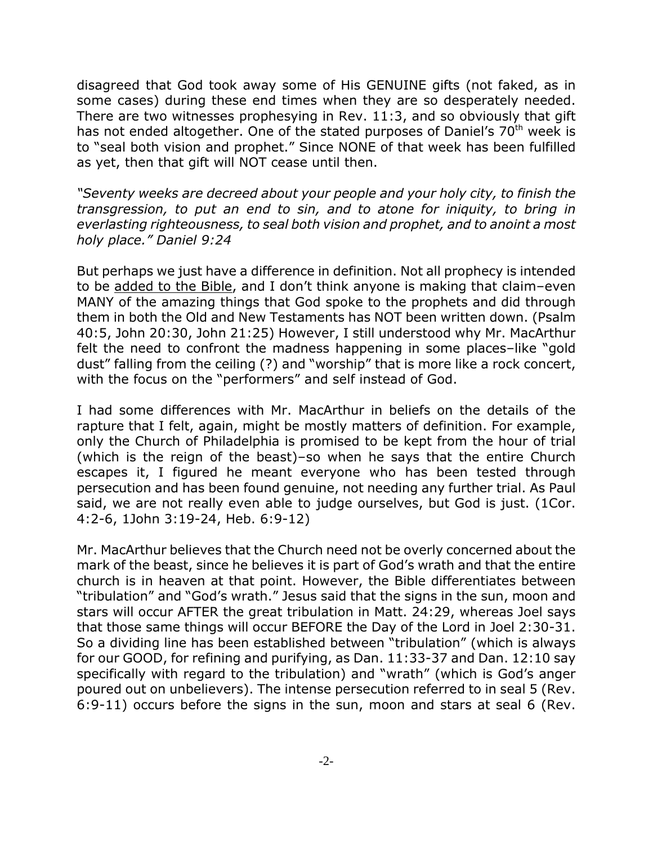disagreed that God took away some of His GENUINE gifts (not faked, as in some cases) during these end times when they are so desperately needed. There are two witnesses prophesying in Rev. 11:3, and so obviously that gift has not ended altogether. One of the stated purposes of Daniel's 70<sup>th</sup> week is to "seal both vision and prophet." Since NONE of that week has been fulfilled as yet, then that gift will NOT cease until then.

*"Seventy weeks are decreed about your people and your holy city, to finish the transgression, to put an end to sin, and to atone for iniquity, to bring in everlasting righteousness, to seal both vision and prophet, and to anoint a most holy place." Daniel 9:24*

But perhaps we just have a difference in definition. Not all prophecy is intended to be added to the Bible, and I don't think anyone is making that claim–even MANY of the amazing things that God spoke to the prophets and did through them in both the Old and New Testaments has NOT been written down. (Psalm 40:5, John 20:30, John 21:25) However, I still understood why Mr. MacArthur felt the need to confront the madness happening in some places–like "gold dust" falling from the ceiling (?) and "worship" that is more like a rock concert, with the focus on the "performers" and self instead of God.

I had some differences with Mr. MacArthur in beliefs on the details of the rapture that I felt, again, might be mostly matters of definition. For example, only the Church of Philadelphia is promised to be kept from the hour of trial (which is the reign of the beast)–so when he says that the entire Church escapes it, I figured he meant everyone who has been tested through persecution and has been found genuine, not needing any further trial. As Paul said, we are not really even able to judge ourselves, but God is just. (1Cor. 4:2-6, 1John 3:19-24, Heb. 6:9-12)

Mr. MacArthur believes that the Church need not be overly concerned about the mark of the beast, since he believes it is part of God's wrath and that the entire church is in heaven at that point. However, the Bible differentiates between "tribulation" and "God's wrath." Jesus said that the signs in the sun, moon and stars will occur AFTER the great tribulation in Matt. 24:29, whereas Joel says that those same things will occur BEFORE the Day of the Lord in Joel 2:30-31. So a dividing line has been established between "tribulation" (which is always for our GOOD, for refining and purifying, as Dan. 11:33-37 and Dan. 12:10 say specifically with regard to the tribulation) and "wrath" (which is God's anger poured out on unbelievers). The intense persecution referred to in seal 5 (Rev. 6:9-11) occurs before the signs in the sun, moon and stars at seal 6 (Rev.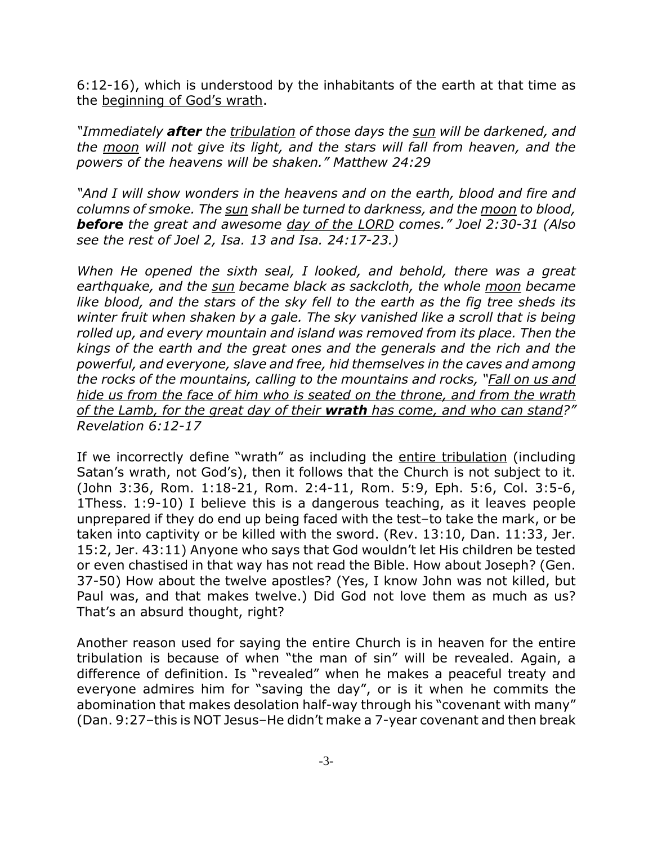6:12-16), which is understood by the inhabitants of the earth at that time as the beginning of God's wrath.

*"Immediately after the tribulation of those days the sun will be darkened, and the moon will not give its light, and the stars will fall from heaven, and the powers of the heavens will be shaken." Matthew 24:29*

*"And I will show wonders in the heavens and on the earth, blood and fire and columns of smoke. The sun shall be turned to darkness, and the moon to blood, before the great and awesome day of the LORD comes." Joel 2:30-31 (Also see the rest of Joel 2, Isa. 13 and Isa. 24:17-23.)*

*When He opened the sixth seal, I looked, and behold, there was a great earthquake, and the sun became black as sackcloth, the whole moon became like blood, and the stars of the sky fell to the earth as the fig tree sheds its winter fruit when shaken by a gale. The sky vanished like a scroll that is being rolled up, and every mountain and island was removed from its place. Then the kings of the earth and the great ones and the generals and the rich and the powerful, and everyone, slave and free, hid themselves in the caves and among the rocks of the mountains, calling to the mountains and rocks, "Fall on us and hide us from the face of him who is seated on the throne, and from the wrath of the Lamb, for the great day of their wrath has come, and who can stand?" Revelation 6:12-17*

If we incorrectly define "wrath" as including the entire tribulation (including Satan's wrath, not God's), then it follows that the Church is not subject to it. (John 3:36, Rom. 1:18-21, Rom. 2:4-11, Rom. 5:9, Eph. 5:6, Col. 3:5-6, 1Thess. 1:9-10) I believe this is a dangerous teaching, as it leaves people unprepared if they do end up being faced with the test–to take the mark, or be taken into captivity or be killed with the sword. (Rev. 13:10, Dan. 11:33, Jer. 15:2, Jer. 43:11) Anyone who says that God wouldn't let His children be tested or even chastised in that way has not read the Bible. How about Joseph? (Gen. 37-50) How about the twelve apostles? (Yes, I know John was not killed, but Paul was, and that makes twelve.) Did God not love them as much as us? That's an absurd thought, right?

Another reason used for saying the entire Church is in heaven for the entire tribulation is because of when "the man of sin" will be revealed. Again, a difference of definition. Is "revealed" when he makes a peaceful treaty and everyone admires him for "saving the day", or is it when he commits the abomination that makes desolation half-way through his "covenant with many" (Dan. 9:27–this is NOT Jesus–He didn't make a 7-year covenant and then break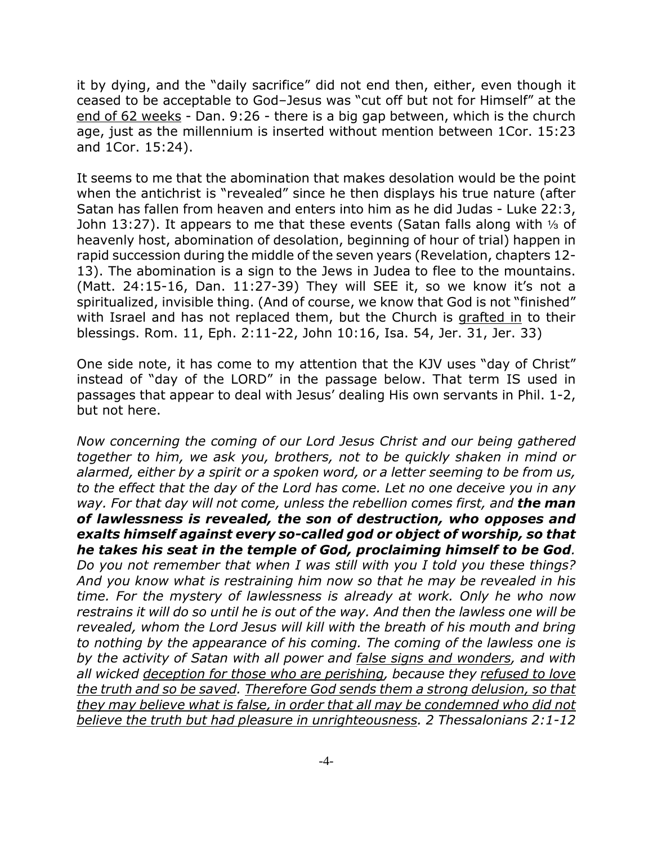it by dying, and the "daily sacrifice" did not end then, either, even though it ceased to be acceptable to God–Jesus was "cut off but not for Himself" at the end of 62 weeks - Dan. 9:26 - there is a big gap between, which is the church age, just as the millennium is inserted without mention between 1Cor. 15:23 and 1Cor. 15:24).

It seems to me that the abomination that makes desolation would be the point when the antichrist is "revealed" since he then displays his true nature (after Satan has fallen from heaven and enters into him as he did Judas - Luke 22:3, John 13:27). It appears to me that these events (Satan falls along with  $\frac{1}{3}$  of heavenly host, abomination of desolation, beginning of hour of trial) happen in rapid succession during the middle of the seven years (Revelation, chapters 12- 13). The abomination is a sign to the Jews in Judea to flee to the mountains. (Matt. 24:15-16, Dan. 11:27-39) They will SEE it, so we know it's not a spiritualized, invisible thing. (And of course, we know that God is not "finished" with Israel and has not replaced them, but the Church is grafted in to their blessings. Rom. 11, Eph. 2:11-22, John 10:16, Isa. 54, Jer. 31, Jer. 33)

One side note, it has come to my attention that the KJV uses "day of Christ" instead of "day of the LORD" in the passage below. That term IS used in passages that appear to deal with Jesus' dealing His own servants in Phil. 1-2, but not here.

*Now concerning the coming of our Lord Jesus Christ and our being gathered together to him, we ask you, brothers, not to be quickly shaken in mind or alarmed, either by a spirit or a spoken word, or a letter seeming to be from us, to the effect that the day of the Lord has come. Let no one deceive you in any way. For that day will not come, unless the rebellion comes first, and the man of lawlessness is revealed, the son of destruction, who opposes and exalts himself against every so-called god or object of worship, so that he takes his seat in the temple of God, proclaiming himself to be God. Do you not remember that when I was still with you I told you these things? And you know what is restraining him now so that he may be revealed in his time. For the mystery of lawlessness is already at work. Only he who now restrains it will do so until he is out of the way. And then the lawless one will be revealed, whom the Lord Jesus will kill with the breath of his mouth and bring to nothing by the appearance of his coming. The coming of the lawless one is by the activity of Satan with all power and false signs and wonders, and with all wicked deception for those who are perishing, because they refused to love the truth and so be saved. Therefore God sends them a strong delusion, so that they may believe what is false, in order that all may be condemned who did not believe the truth but had pleasure in unrighteousness. 2 Thessalonians 2:1-12*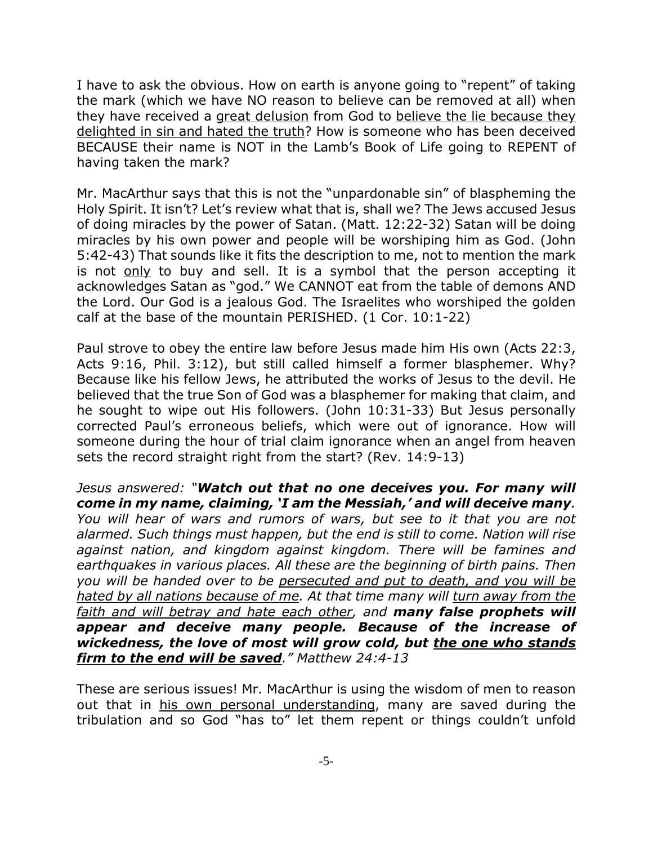I have to ask the obvious. How on earth is anyone going to "repent" of taking the mark (which we have NO reason to believe can be removed at all) when they have received a great delusion from God to believe the lie because they delighted in sin and hated the truth? How is someone who has been deceived BECAUSE their name is NOT in the Lamb's Book of Life going to REPENT of having taken the mark?

Mr. MacArthur says that this is not the "unpardonable sin" of blaspheming the Holy Spirit. It isn't? Let's review what that is, shall we? The Jews accused Jesus of doing miracles by the power of Satan. (Matt. 12:22-32) Satan will be doing miracles by his own power and people will be worshiping him as God. (John 5:42-43) That sounds like it fits the description to me, not to mention the mark is not only to buy and sell. It is a symbol that the person accepting it acknowledges Satan as "god." We CANNOT eat from the table of demons AND the Lord. Our God is a jealous God. The Israelites who worshiped the golden calf at the base of the mountain PERISHED. (1 Cor. 10:1-22)

Paul strove to obey the entire law before Jesus made him His own (Acts 22:3, Acts 9:16, Phil. 3:12), but still called himself a former blasphemer. Why? Because like his fellow Jews, he attributed the works of Jesus to the devil. He believed that the true Son of God was a blasphemer for making that claim, and he sought to wipe out His followers. (John 10:31-33) But Jesus personally corrected Paul's erroneous beliefs, which were out of ignorance. How will someone during the hour of trial claim ignorance when an angel from heaven sets the record straight right from the start? (Rev. 14:9-13)

*Jesus answered: "Watch out that no one deceives you. For many will come in my name, claiming, 'I am the Messiah,' and will deceive many. You will hear of wars and rumors of wars, but see to it that you are not alarmed. Such things must happen, but the end is still to come. Nation will rise against nation, and kingdom against kingdom. There will be famines and earthquakes in various places. All these are the beginning of birth pains. Then you will be handed over to be persecuted and put to death, and you will be hated by all nations because of me. At that time many will turn away from the faith and will betray and hate each other, and many false prophets will appear and deceive many people. Because of the increase of wickedness, the love of most will grow cold, but the one who stands firm to the end will be saved." Matthew 24:4-13*

These are serious issues! Mr. MacArthur is using the wisdom of men to reason out that in his own personal understanding, many are saved during the tribulation and so God "has to" let them repent or things couldn't unfold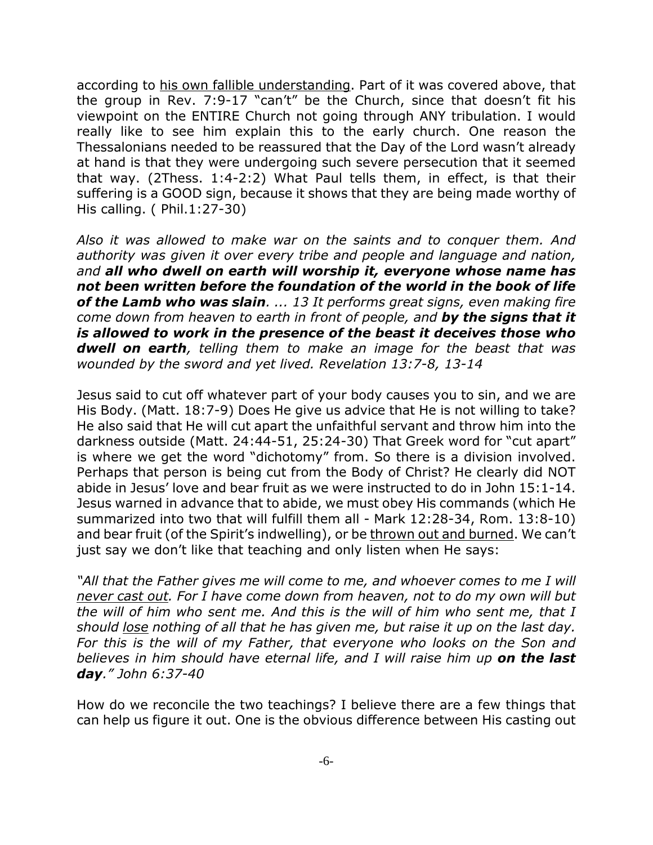according to his own fallible understanding. Part of it was covered above, that the group in Rev. 7:9-17 "can't" be the Church, since that doesn't fit his viewpoint on the ENTIRE Church not going through ANY tribulation. I would really like to see him explain this to the early church. One reason the Thessalonians needed to be reassured that the Day of the Lord wasn't already at hand is that they were undergoing such severe persecution that it seemed that way. (2Thess. 1:4-2:2) What Paul tells them, in effect, is that their suffering is a GOOD sign, because it shows that they are being made worthy of His calling. ( Phil.1:27-30)

*Also it was allowed to make war on the saints and to conquer them. And authority was given it over every tribe and people and language and nation, and all who dwell on earth will worship it, everyone whose name has not been written before the foundation of the world in the book of life of the Lamb who was slain. ... 13 It performs great signs, even making fire come down from heaven to earth in front of people, and by the signs that it is allowed to work in the presence of the beast it deceives those who dwell on earth, telling them to make an image for the beast that was wounded by the sword and yet lived. Revelation 13:7-8, 13-14*

Jesus said to cut off whatever part of your body causes you to sin, and we are His Body. (Matt. 18:7-9) Does He give us advice that He is not willing to take? He also said that He will cut apart the unfaithful servant and throw him into the darkness outside (Matt. 24:44-51, 25:24-30) That Greek word for "cut apart" is where we get the word "dichotomy" from. So there is a division involved. Perhaps that person is being cut from the Body of Christ? He clearly did NOT abide in Jesus' love and bear fruit as we were instructed to do in John 15:1-14. Jesus warned in advance that to abide, we must obey His commands (which He summarized into two that will fulfill them all - Mark 12:28-34, Rom. 13:8-10) and bear fruit (of the Spirit's indwelling), or be thrown out and burned. We can't just say we don't like that teaching and only listen when He says:

*"All that the Father gives me will come to me, and whoever comes to me I will never cast out. For I have come down from heaven, not to do my own will but the will of him who sent me. And this is the will of him who sent me, that I should lose nothing of all that he has given me, but raise it up on the last day. For this is the will of my Father, that everyone who looks on the Son and believes in him should have eternal life, and I will raise him up on the last day." John 6:37-40*

How do we reconcile the two teachings? I believe there are a few things that can help us figure it out. One is the obvious difference between His casting out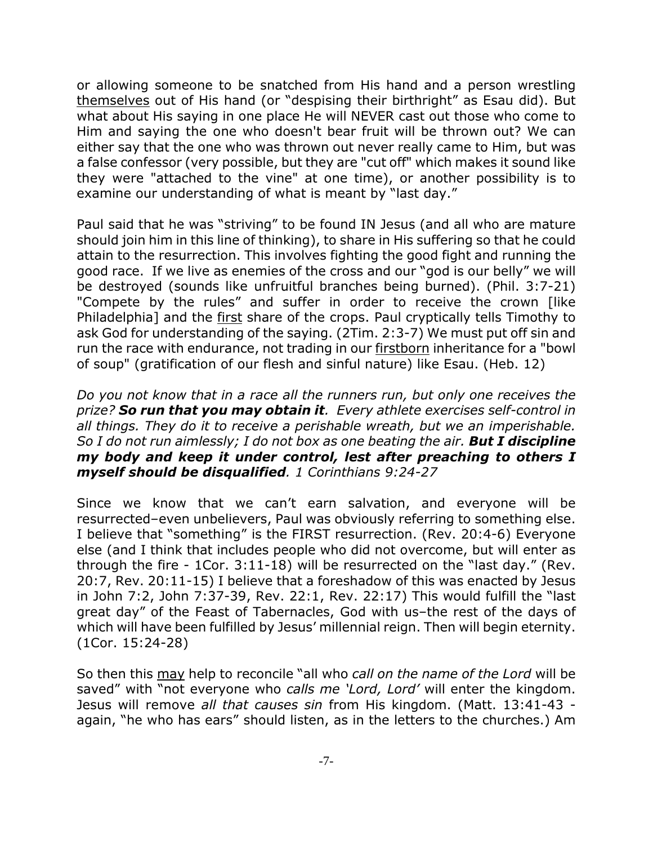or allowing someone to be snatched from His hand and a person wrestling themselves out of His hand (or "despising their birthright" as Esau did). But what about His saying in one place He will NEVER cast out those who come to Him and saying the one who doesn't bear fruit will be thrown out? We can either say that the one who was thrown out never really came to Him, but was a false confessor (very possible, but they are "cut off" which makes it sound like they were "attached to the vine" at one time), or another possibility is to examine our understanding of what is meant by "last day."

Paul said that he was "striving" to be found IN Jesus (and all who are mature should join him in this line of thinking), to share in His suffering so that he could attain to the resurrection. This involves fighting the good fight and running the good race. If we live as enemies of the cross and our "god is our belly" we will be destroyed (sounds like unfruitful branches being burned). (Phil. 3:7-21) "Compete by the rules" and suffer in order to receive the crown [like Philadelphia] and the first share of the crops. Paul cryptically tells Timothy to ask God for understanding of the saying. (2Tim. 2:3-7) We must put off sin and run the race with endurance, not trading in our firstborn inheritance for a "bowl of soup" (gratification of our flesh and sinful nature) like Esau. (Heb. 12)

*Do you not know that in a race all the runners run, but only one receives the prize? So run that you may obtain it. Every athlete exercises self-control in all things. They do it to receive a perishable wreath, but we an imperishable. So I do not run aimlessly; I do not box as one beating the air. But I discipline my body and keep it under control, lest after preaching to others I myself should be disqualified. 1 Corinthians 9:24-27*

Since we know that we can't earn salvation, and everyone will be resurrected–even unbelievers, Paul was obviously referring to something else. I believe that "something" is the FIRST resurrection. (Rev. 20:4-6) Everyone else (and I think that includes people who did not overcome, but will enter as through the fire - 1Cor. 3:11-18) will be resurrected on the "last day." (Rev. 20:7, Rev. 20:11-15) I believe that a foreshadow of this was enacted by Jesus in John 7:2, John 7:37-39, Rev. 22:1, Rev. 22:17) This would fulfill the "last great day" of the Feast of Tabernacles, God with us–the rest of the days of which will have been fulfilled by Jesus' millennial reign. Then will begin eternity. (1Cor. 15:24-28)

So then this may help to reconcile "all who *call on the name of the Lord* will be saved" with "not everyone who *calls me 'Lord, Lord'* will enter the kingdom. Jesus will remove *all that causes sin* from His kingdom. (Matt. 13:41-43 again, "he who has ears" should listen, as in the letters to the churches.) Am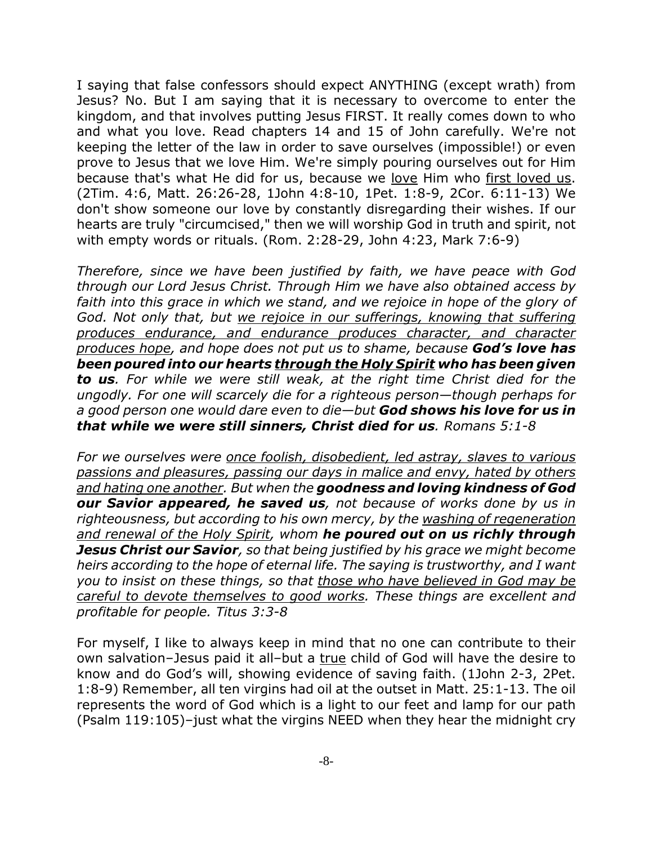I saying that false confessors should expect ANYTHING (except wrath) from Jesus? No. But I am saying that it is necessary to overcome to enter the kingdom, and that involves putting Jesus FIRST. It really comes down to who and what you love. Read chapters 14 and 15 of John carefully. We're not keeping the letter of the law in order to save ourselves (impossible!) or even prove to Jesus that we love Him. We're simply pouring ourselves out for Him because that's what He did for us, because we love Him who first loved us. (2Tim. 4:6, Matt. 26:26-28, 1John 4:8-10, 1Pet. 1:8-9, 2Cor. 6:11-13) We don't show someone our love by constantly disregarding their wishes. If our hearts are truly "circumcised," then we will worship God in truth and spirit, not with empty words or rituals. (Rom. 2:28-29, John 4:23, Mark 7:6-9)

*Therefore, since we have been justified by faith, we have peace with God through our Lord Jesus Christ. Through Him we have also obtained access by faith into this grace in which we stand, and we rejoice in hope of the glory of God. Not only that, but we rejoice in our sufferings, knowing that suffering produces endurance, and endurance produces character, and character produces hope, and hope does not put us to shame, because God's love has been poured into our hearts through the Holy Spirit who has been given to us. For while we were still weak, at the right time Christ died for the ungodly. For one will scarcely die for a righteous person—though perhaps for a good person one would dare even to die—but God shows his love for us in that while we were still sinners, Christ died for us. Romans 5:1-8*

*For we ourselves were once foolish, disobedient, led astray, slaves to various passions and pleasures, passing our days in malice and envy, hated by others and hating one another. But when the goodness and loving kindness of God our Savior appeared, he saved us, not because of works done by us in righteousness, but according to his own mercy, by the washing of regeneration and renewal of the Holy Spirit, whom he poured out on us richly through Jesus Christ our Savior, so that being justified by his grace we might become heirs according to the hope of eternal life. The saying is trustworthy, and I want you to insist on these things, so that those who have believed in God may be careful to devote themselves to good works. These things are excellent and profitable for people. Titus 3:3-8*

For myself, I like to always keep in mind that no one can contribute to their own salvation–Jesus paid it all–but a true child of God will have the desire to know and do God's will, showing evidence of saving faith. (1John 2-3, 2Pet. 1:8-9) Remember, all ten virgins had oil at the outset in Matt. 25:1-13. The oil represents the word of God which is a light to our feet and lamp for our path (Psalm 119:105)–just what the virgins NEED when they hear the midnight cry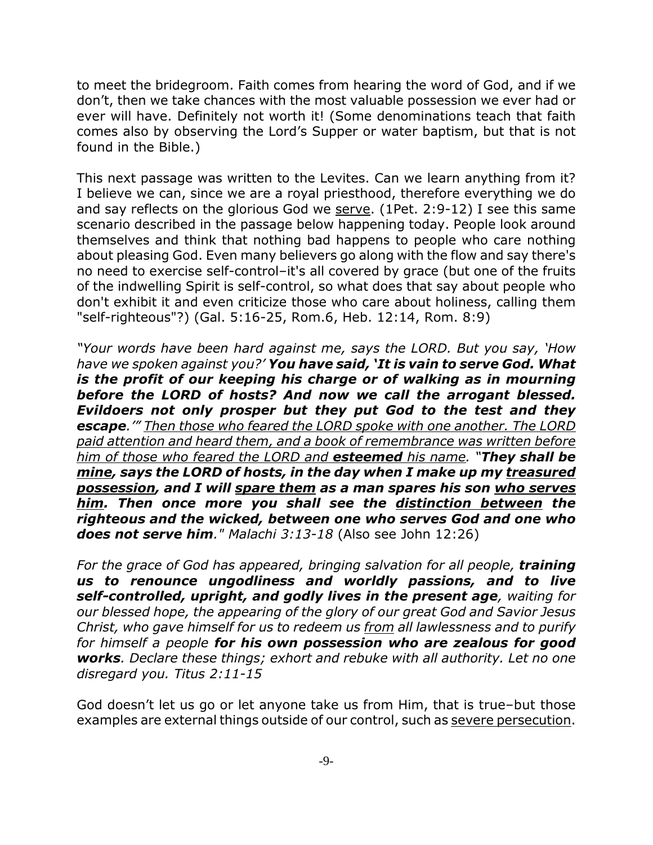to meet the bridegroom. Faith comes from hearing the word of God, and if we don't, then we take chances with the most valuable possession we ever had or ever will have. Definitely not worth it! (Some denominations teach that faith comes also by observing the Lord's Supper or water baptism, but that is not found in the Bible.)

This next passage was written to the Levites. Can we learn anything from it? I believe we can, since we are a royal priesthood, therefore everything we do and say reflects on the glorious God we serve. (1Pet. 2:9-12) I see this same scenario described in the passage below happening today. People look around themselves and think that nothing bad happens to people who care nothing about pleasing God. Even many believers go along with the flow and say there's no need to exercise self-control–it's all covered by grace (but one of the fruits of the indwelling Spirit is self-control, so what does that say about people who don't exhibit it and even criticize those who care about holiness, calling them "self-righteous"?) (Gal. 5:16-25, Rom.6, Heb. 12:14, Rom. 8:9)

*"Your words have been hard against me, says the LORD. But you say, 'How have we spoken against you?' You have said, 'It is vain to serve God. What is the profit of our keeping his charge or of walking as in mourning before the LORD of hosts? And now we call the arrogant blessed. Evildoers not only prosper but they put God to the test and they escape.'" Then those who feared the LORD spoke with one another. The LORD paid attention and heard them, and a book of remembrance was written before him of those who feared the LORD and esteemed his name. "They shall be mine, says the LORD of hosts, in the day when I make up my treasured possession, and I will spare them as a man spares his son who serves him. Then once more you shall see the distinction between the righteous and the wicked, between one who serves God and one who does not serve him." Malachi 3:13-18* (Also see John 12:26)

*For the grace of God has appeared, bringing salvation for all people, training us to renounce ungodliness and worldly passions, and to live self-controlled, upright, and godly lives in the present age, waiting for our blessed hope, the appearing of the glory of our great God and Savior Jesus Christ, who gave himself for us to redeem us from all lawlessness and to purify for himself a people for his own possession who are zealous for good works. Declare these things; exhort and rebuke with all authority. Let no one disregard you. Titus 2:11-15*

God doesn't let us go or let anyone take us from Him, that is true–but those examples are external things outside of our control, such as severe persecution.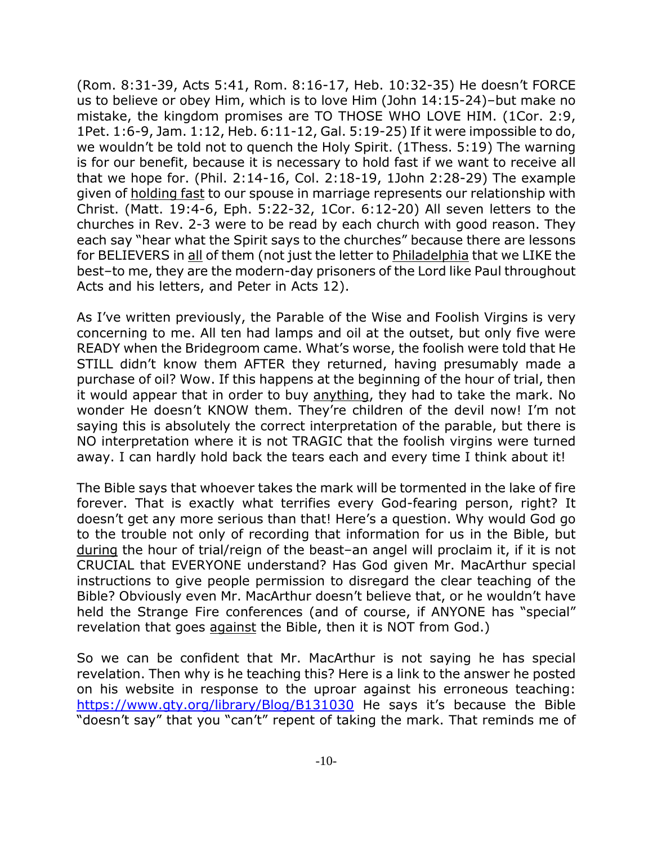(Rom. 8:31-39, Acts 5:41, Rom. 8:16-17, Heb. 10:32-35) He doesn't FORCE us to believe or obey Him, which is to love Him (John 14:15-24)–but make no mistake, the kingdom promises are TO THOSE WHO LOVE HIM. (1Cor. 2:9, 1Pet. 1:6-9, Jam. 1:12, Heb. 6:11-12, Gal. 5:19-25) If it were impossible to do, we wouldn't be told not to quench the Holy Spirit. (1Thess. 5:19) The warning is for our benefit, because it is necessary to hold fast if we want to receive all that we hope for. (Phil. 2:14-16, Col. 2:18-19, 1John 2:28-29) The example given of holding fast to our spouse in marriage represents our relationship with Christ. (Matt. 19:4-6, Eph. 5:22-32, 1Cor. 6:12-20) All seven letters to the churches in Rev. 2-3 were to be read by each church with good reason. They each say "hear what the Spirit says to the churches" because there are lessons for BELIEVERS in all of them (not just the letter to Philadelphia that we LIKE the best–to me, they are the modern-day prisoners of the Lord like Paul throughout Acts and his letters, and Peter in Acts 12).

As I've written previously, the Parable of the Wise and Foolish Virgins is very concerning to me. All ten had lamps and oil at the outset, but only five were READY when the Bridegroom came. What's worse, the foolish were told that He STILL didn't know them AFTER they returned, having presumably made a purchase of oil? Wow. If this happens at the beginning of the hour of trial, then it would appear that in order to buy anything, they had to take the mark. No wonder He doesn't KNOW them. They're children of the devil now! I'm not saying this is absolutely the correct interpretation of the parable, but there is NO interpretation where it is not TRAGIC that the foolish virgins were turned away. I can hardly hold back the tears each and every time I think about it!

The Bible says that whoever takes the mark will be tormented in the lake of fire forever. That is exactly what terrifies every God-fearing person, right? It doesn't get any more serious than that! Here's a question. Why would God go to the trouble not only of recording that information for us in the Bible, but during the hour of trial/reign of the beast–an angel will proclaim it, if it is not CRUCIAL that EVERYONE understand? Has God given Mr. MacArthur special instructions to give people permission to disregard the clear teaching of the Bible? Obviously even Mr. MacArthur doesn't believe that, or he wouldn't have held the Strange Fire conferences (and of course, if ANYONE has "special" revelation that goes against the Bible, then it is NOT from God.)

So we can be confident that Mr. MacArthur is not saying he has special revelation. Then why is he teaching this? Here is a link to the answer he posted on his website in response to the uproar against his erroneous teaching: https://www.gty.org/library/Blog/B131030 He says it's because the Bible "doesn't say" that you "can't" repent of taking the mark. That reminds me of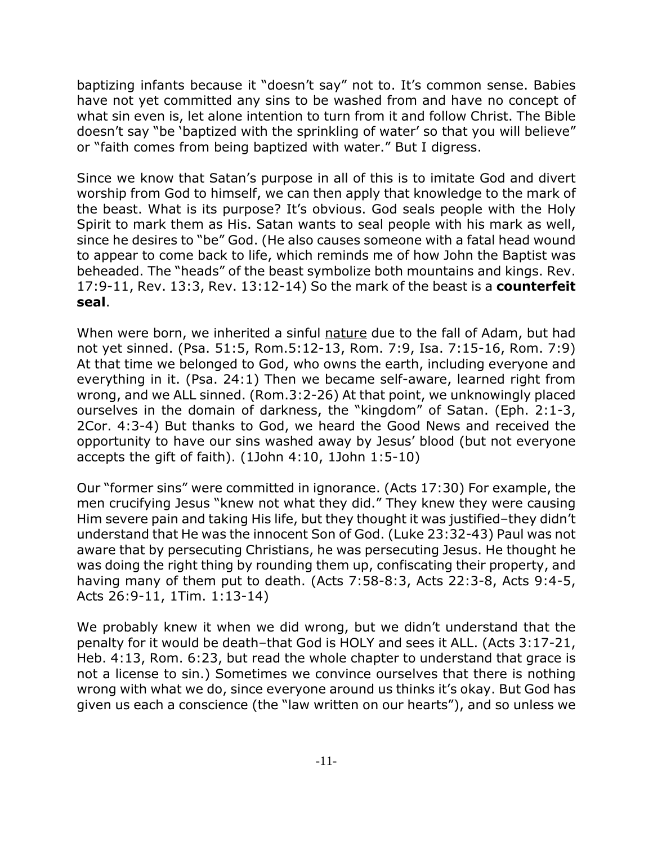baptizing infants because it "doesn't say" not to. It's common sense. Babies have not yet committed any sins to be washed from and have no concept of what sin even is, let alone intention to turn from it and follow Christ. The Bible doesn't say "be 'baptized with the sprinkling of water' so that you will believe" or "faith comes from being baptized with water." But I digress.

Since we know that Satan's purpose in all of this is to imitate God and divert worship from God to himself, we can then apply that knowledge to the mark of the beast. What is its purpose? It's obvious. God seals people with the Holy Spirit to mark them as His. Satan wants to seal people with his mark as well, since he desires to "be" God. (He also causes someone with a fatal head wound to appear to come back to life, which reminds me of how John the Baptist was beheaded. The "heads" of the beast symbolize both mountains and kings. Rev. 17:9-11, Rev. 13:3, Rev. 13:12-14) So the mark of the beast is a **counterfeit seal**.

When were born, we inherited a sinful nature due to the fall of Adam, but had not yet sinned. (Psa. 51:5, Rom.5:12-13, Rom. 7:9, Isa. 7:15-16, Rom. 7:9) At that time we belonged to God, who owns the earth, including everyone and everything in it. (Psa. 24:1) Then we became self-aware, learned right from wrong, and we ALL sinned. (Rom.3:2-26) At that point, we unknowingly placed ourselves in the domain of darkness, the "kingdom" of Satan. (Eph. 2:1-3, 2Cor. 4:3-4) But thanks to God, we heard the Good News and received the opportunity to have our sins washed away by Jesus' blood (but not everyone accepts the gift of faith). (1John 4:10, 1John 1:5-10)

Our "former sins" were committed in ignorance. (Acts 17:30) For example, the men crucifying Jesus "knew not what they did." They knew they were causing Him severe pain and taking His life, but they thought it was justified–they didn't understand that He was the innocent Son of God. (Luke 23:32-43) Paul was not aware that by persecuting Christians, he was persecuting Jesus. He thought he was doing the right thing by rounding them up, confiscating their property, and having many of them put to death. (Acts 7:58-8:3, Acts 22:3-8, Acts 9:4-5, Acts 26:9-11, 1Tim. 1:13-14)

We probably knew it when we did wrong, but we didn't understand that the penalty for it would be death–that God is HOLY and sees it ALL. (Acts 3:17-21, Heb. 4:13, Rom. 6:23, but read the whole chapter to understand that grace is not a license to sin.) Sometimes we convince ourselves that there is nothing wrong with what we do, since everyone around us thinks it's okay. But God has given us each a conscience (the "law written on our hearts"), and so unless we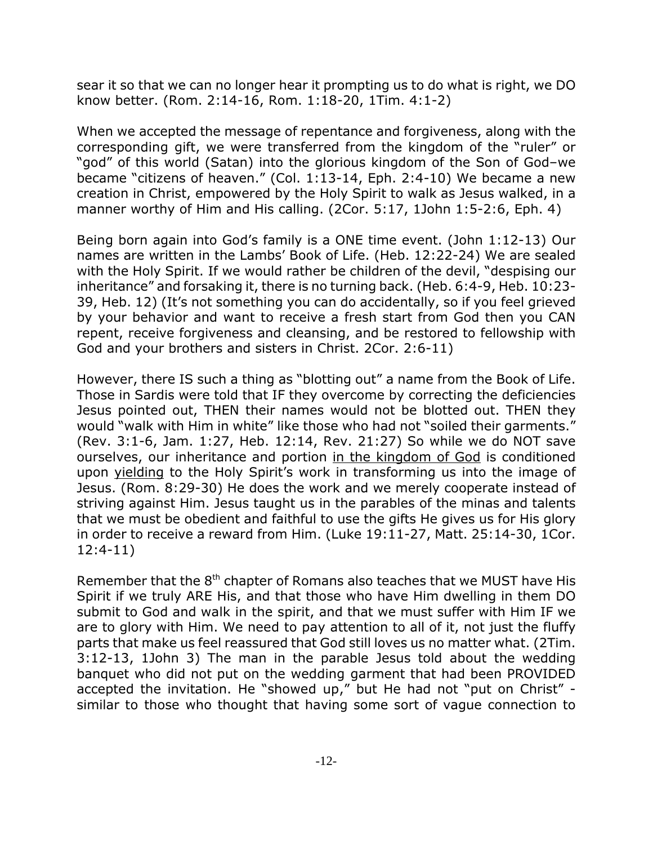sear it so that we can no longer hear it prompting us to do what is right, we DO know better. (Rom. 2:14-16, Rom. 1:18-20, 1Tim. 4:1-2)

When we accepted the message of repentance and forgiveness, along with the corresponding gift, we were transferred from the kingdom of the "ruler" or "god" of this world (Satan) into the glorious kingdom of the Son of God–we became "citizens of heaven." (Col. 1:13-14, Eph. 2:4-10) We became a new creation in Christ, empowered by the Holy Spirit to walk as Jesus walked, in a manner worthy of Him and His calling. (2Cor. 5:17, 1John 1:5-2:6, Eph. 4)

Being born again into God's family is a ONE time event. (John 1:12-13) Our names are written in the Lambs' Book of Life. (Heb. 12:22-24) We are sealed with the Holy Spirit. If we would rather be children of the devil, "despising our inheritance" and forsaking it, there is no turning back. (Heb. 6:4-9, Heb. 10:23- 39, Heb. 12) (It's not something you can do accidentally, so if you feel grieved by your behavior and want to receive a fresh start from God then you CAN repent, receive forgiveness and cleansing, and be restored to fellowship with God and your brothers and sisters in Christ. 2Cor. 2:6-11)

However, there IS such a thing as "blotting out" a name from the Book of Life. Those in Sardis were told that IF they overcome by correcting the deficiencies Jesus pointed out, THEN their names would not be blotted out. THEN they would "walk with Him in white" like those who had not "soiled their garments." (Rev. 3:1-6, Jam. 1:27, Heb. 12:14, Rev. 21:27) So while we do NOT save ourselves, our inheritance and portion in the kingdom of God is conditioned upon yielding to the Holy Spirit's work in transforming us into the image of Jesus. (Rom. 8:29-30) He does the work and we merely cooperate instead of striving against Him. Jesus taught us in the parables of the minas and talents that we must be obedient and faithful to use the gifts He gives us for His glory in order to receive a reward from Him. (Luke 19:11-27, Matt. 25:14-30, 1Cor. 12:4-11)

Remember that the  $8<sup>th</sup>$  chapter of Romans also teaches that we MUST have His Spirit if we truly ARE His, and that those who have Him dwelling in them DO submit to God and walk in the spirit, and that we must suffer with Him IF we are to glory with Him. We need to pay attention to all of it, not just the fluffy parts that make us feel reassured that God still loves us no matter what. (2Tim. 3:12-13, 1John 3) The man in the parable Jesus told about the wedding banquet who did not put on the wedding garment that had been PROVIDED accepted the invitation. He "showed up," but He had not "put on Christ" similar to those who thought that having some sort of vague connection to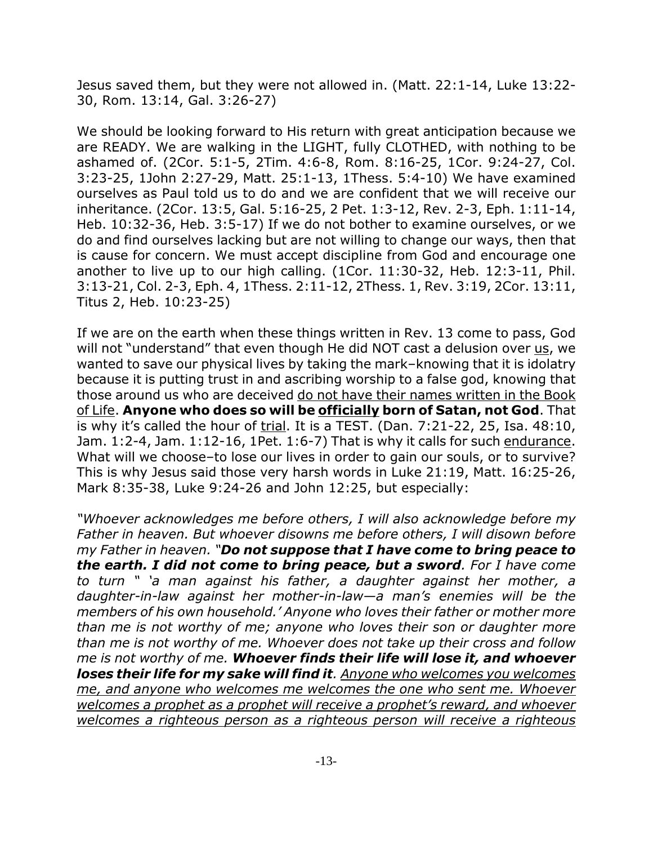Jesus saved them, but they were not allowed in. (Matt. 22:1-14, Luke 13:22- 30, Rom. 13:14, Gal. 3:26-27)

We should be looking forward to His return with great anticipation because we are READY. We are walking in the LIGHT, fully CLOTHED, with nothing to be ashamed of. (2Cor. 5:1-5, 2Tim. 4:6-8, Rom. 8:16-25, 1Cor. 9:24-27, Col. 3:23-25, 1John 2:27-29, Matt. 25:1-13, 1Thess. 5:4-10) We have examined ourselves as Paul told us to do and we are confident that we will receive our inheritance. (2Cor. 13:5, Gal. 5:16-25, 2 Pet. 1:3-12, Rev. 2-3, Eph. 1:11-14, Heb. 10:32-36, Heb. 3:5-17) If we do not bother to examine ourselves, or we do and find ourselves lacking but are not willing to change our ways, then that is cause for concern. We must accept discipline from God and encourage one another to live up to our high calling. (1Cor. 11:30-32, Heb. 12:3-11, Phil. 3:13-21, Col. 2-3, Eph. 4, 1Thess. 2:11-12, 2Thess. 1, Rev. 3:19, 2Cor. 13:11, Titus 2, Heb. 10:23-25)

If we are on the earth when these things written in Rev. 13 come to pass, God will not "understand" that even though He did NOT cast a delusion over us, we wanted to save our physical lives by taking the mark–knowing that it is idolatry because it is putting trust in and ascribing worship to a false god, knowing that those around us who are deceived do not have their names written in the Book of Life. **Anyone who does so will be officially born of Satan, not God**. That is why it's called the hour of trial. It is a TEST. (Dan. 7:21-22, 25, Isa. 48:10, Jam. 1:2-4, Jam. 1:12-16, 1Pet. 1:6-7) That is why it calls for such endurance. What will we choose–to lose our lives in order to gain our souls, or to survive? This is why Jesus said those very harsh words in Luke 21:19, Matt. 16:25-26, Mark 8:35-38, Luke 9:24-26 and John 12:25, but especially:

*"Whoever acknowledges me before others, I will also acknowledge before my Father in heaven. But whoever disowns me before others, I will disown before my Father in heaven. "Do not suppose that I have come to bring peace to the earth. I did not come to bring peace, but a sword. For I have come to turn " 'a man against his father, a daughter against her mother, a daughter-in-law against her mother-in-law—a man's enemies will be the members of his own household.' Anyone who loves their father or mother more than me is not worthy of me; anyone who loves their son or daughter more than me is not worthy of me. Whoever does not take up their cross and follow me is not worthy of me. Whoever finds their life will lose it, and whoever loses their life for my sake will find it. Anyone who welcomes you welcomes me, and anyone who welcomes me welcomes the one who sent me. Whoever welcomes a prophet as a prophet will receive a prophet's reward, and whoever welcomes a righteous person as a righteous person will receive a righteous*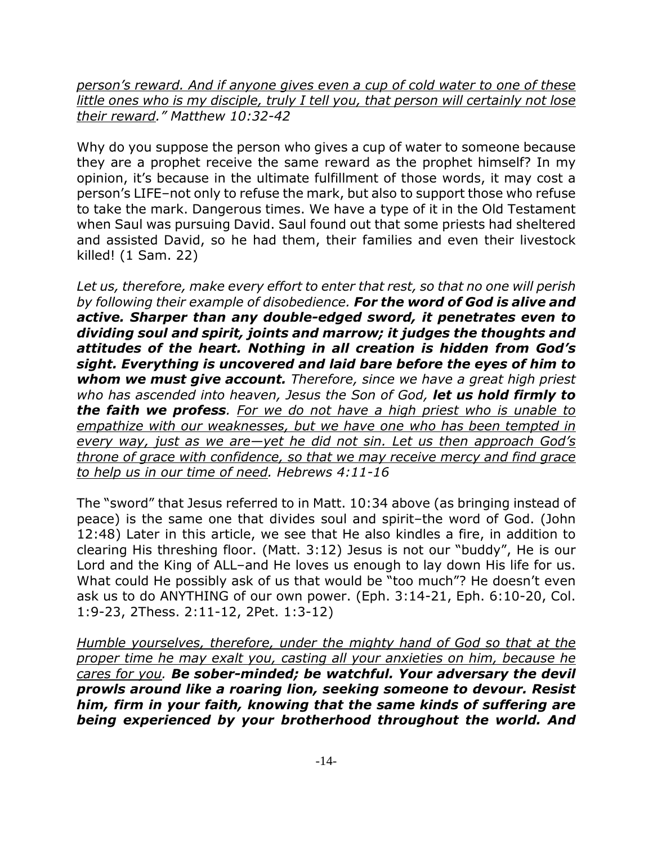*person's reward. And if anyone gives even a cup of cold water to one of these little ones who is my disciple, truly I tell you, that person will certainly not lose their reward." Matthew 10:32-42*

Why do you suppose the person who gives a cup of water to someone because they are a prophet receive the same reward as the prophet himself? In my opinion, it's because in the ultimate fulfillment of those words, it may cost a person's LIFE–not only to refuse the mark, but also to support those who refuse to take the mark. Dangerous times. We have a type of it in the Old Testament when Saul was pursuing David. Saul found out that some priests had sheltered and assisted David, so he had them, their families and even their livestock killed! (1 Sam. 22)

*Let us, therefore, make every effort to enter that rest, so that no one will perish by following their example of disobedience. For the word of God is alive and active. Sharper than any double-edged sword, it penetrates even to dividing soul and spirit, joints and marrow; it judges the thoughts and attitudes of the heart. Nothing in all creation is hidden from God's sight. Everything is uncovered and laid bare before the eyes of him to whom we must give account. Therefore, since we have a great high priest who has ascended into heaven, Jesus the Son of God, let us hold firmly to the faith we profess. For we do not have a high priest who is unable to empathize with our weaknesses, but we have one who has been tempted in every way, just as we are—yet he did not sin. Let us then approach God's throne of grace with confidence, so that we may receive mercy and find grace to help us in our time of need. Hebrews 4:11-16*

The "sword" that Jesus referred to in Matt. 10:34 above (as bringing instead of peace) is the same one that divides soul and spirit–the word of God. (John 12:48) Later in this article, we see that He also kindles a fire, in addition to clearing His threshing floor. (Matt. 3:12) Jesus is not our "buddy", He is our Lord and the King of ALL–and He loves us enough to lay down His life for us. What could He possibly ask of us that would be "too much"? He doesn't even ask us to do ANYTHING of our own power. (Eph. 3:14-21, Eph. 6:10-20, Col. 1:9-23, 2Thess. 2:11-12, 2Pet. 1:3-12)

*Humble yourselves, therefore, under the mighty hand of God so that at the proper time he may exalt you, casting all your anxieties on him, because he cares for you. Be sober-minded; be watchful. Your adversary the devil prowls around like a roaring lion, seeking someone to devour. Resist him, firm in your faith, knowing that the same kinds of suffering are being experienced by your brotherhood throughout the world. And*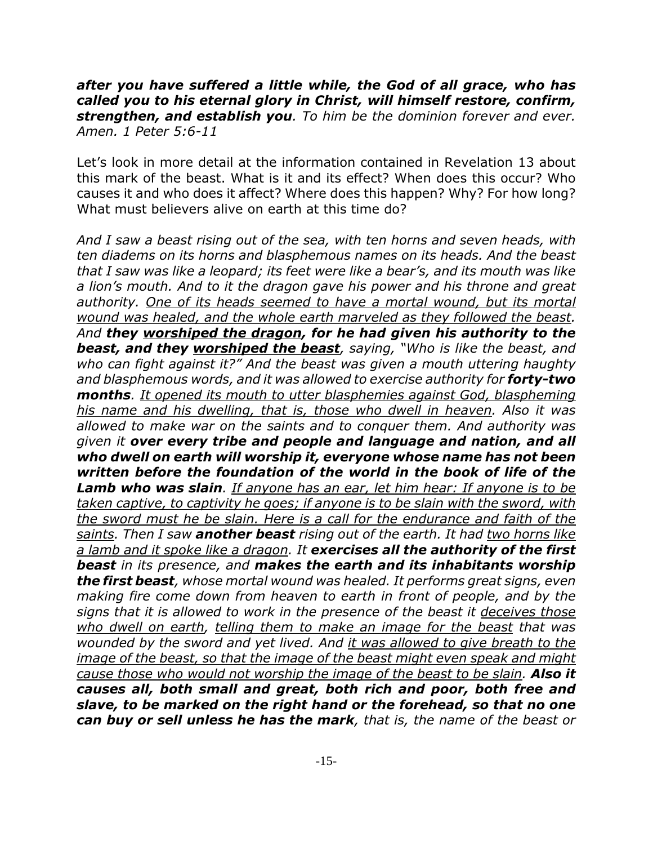*after you have suffered a little while, the God of all grace, who has called you to his eternal glory in Christ, will himself restore, confirm, strengthen, and establish you. To him be the dominion forever and ever. Amen. 1 Peter 5:6-11*

Let's look in more detail at the information contained in Revelation 13 about this mark of the beast. What is it and its effect? When does this occur? Who causes it and who does it affect? Where does this happen? Why? For how long? What must believers alive on earth at this time do?

*And I saw a beast rising out of the sea, with ten horns and seven heads, with ten diadems on its horns and blasphemous names on its heads. And the beast that I saw was like a leopard; its feet were like a bear's, and its mouth was like a lion's mouth. And to it the dragon gave his power and his throne and great authority. One of its heads seemed to have a mortal wound, but its mortal wound was healed, and the whole earth marveled as they followed the beast. And they worshiped the dragon, for he had given his authority to the beast, and they worshiped the beast, saying, "Who is like the beast, and who can fight against it?" And the beast was given a mouth uttering haughty and blasphemous words, and it was allowed to exercise authority for forty-two months. It opened its mouth to utter blasphemies against God, blaspheming his name and his dwelling, that is, those who dwell in heaven. Also it was allowed to make war on the saints and to conquer them. And authority was given it over every tribe and people and language and nation, and all who dwell on earth will worship it, everyone whose name has not been written before the foundation of the world in the book of life of the Lamb who was slain. If anyone has an ear, let him hear: If anyone is to be taken captive, to captivity he goes; if anyone is to be slain with the sword, with the sword must he be slain. Here is a call for the endurance and faith of the saints. Then I saw another beast rising out of the earth. It had two horns like a lamb and it spoke like a dragon. It exercises all the authority of the first beast in its presence, and makes the earth and its inhabitants worship the first beast, whose mortal wound was healed. It performs great signs, even making fire come down from heaven to earth in front of people, and by the signs that it is allowed to work in the presence of the beast it deceives those who dwell on earth, telling them to make an image for the beast that was wounded by the sword and yet lived. And it was allowed to give breath to the image of the beast, so that the image of the beast might even speak and might cause those who would not worship the image of the beast to be slain. Also it causes all, both small and great, both rich and poor, both free and slave, to be marked on the right hand or the forehead, so that no one can buy or sell unless he has the mark, that is, the name of the beast or*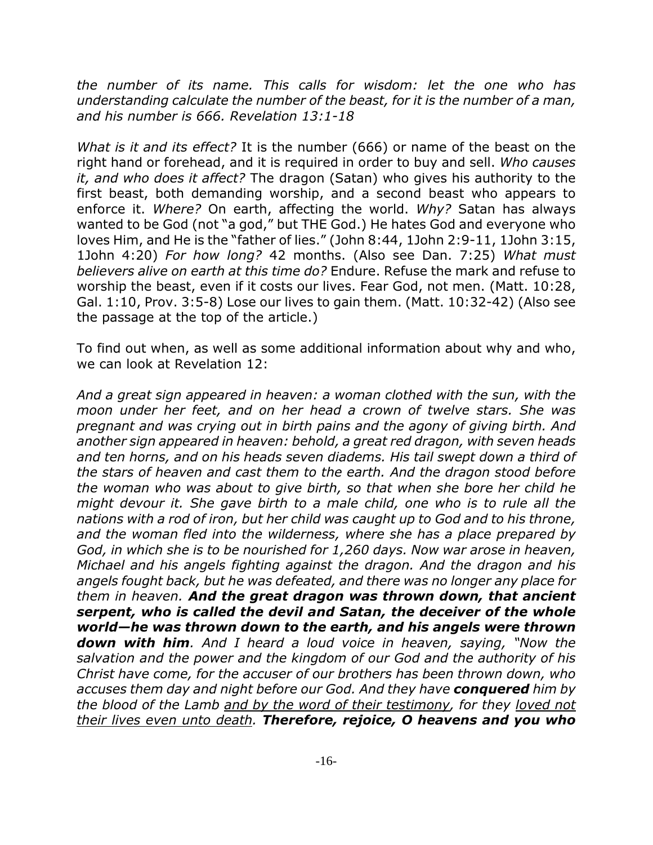*the number of its name. This calls for wisdom: let the one who has understanding calculate the number of the beast, for it is the number of a man, and his number is 666. Revelation 13:1-18*

*What is it and its effect?* It is the number (666) or name of the beast on the right hand or forehead, and it is required in order to buy and sell. *Who causes it, and who does it affect?* The dragon (Satan) who gives his authority to the first beast, both demanding worship, and a second beast who appears to enforce it. *Where?* On earth, affecting the world. *Why?* Satan has always wanted to be God (not "a god," but THE God.) He hates God and everyone who loves Him, and He is the "father of lies." (John 8:44, 1John 2:9-11, 1John 3:15, 1John 4:20) *For how long?* 42 months. (Also see Dan. 7:25) *What must believers alive on earth at this time do?* Endure. Refuse the mark and refuse to worship the beast, even if it costs our lives. Fear God, not men. (Matt. 10:28, Gal. 1:10, Prov. 3:5-8) Lose our lives to gain them. (Matt. 10:32-42) (Also see the passage at the top of the article.)

To find out when, as well as some additional information about why and who, we can look at Revelation 12:

*And a great sign appeared in heaven: a woman clothed with the sun, with the moon under her feet, and on her head a crown of twelve stars. She was pregnant and was crying out in birth pains and the agony of giving birth. And another sign appeared in heaven: behold, a great red dragon, with seven heads and ten horns, and on his heads seven diadems. His tail swept down a third of the stars of heaven and cast them to the earth. And the dragon stood before the woman who was about to give birth, so that when she bore her child he might devour it. She gave birth to a male child, one who is to rule all the nations with a rod of iron, but her child was caught up to God and to his throne, and the woman fled into the wilderness, where she has a place prepared by God, in which she is to be nourished for 1,260 days. Now war arose in heaven, Michael and his angels fighting against the dragon. And the dragon and his angels fought back, but he was defeated, and there was no longer any place for them in heaven. And the great dragon was thrown down, that ancient serpent, who is called the devil and Satan, the deceiver of the whole world—he was thrown down to the earth, and his angels were thrown down with him. And I heard a loud voice in heaven, saying, "Now the salvation and the power and the kingdom of our God and the authority of his Christ have come, for the accuser of our brothers has been thrown down, who accuses them day and night before our God. And they have conquered him by the blood of the Lamb and by the word of their testimony, for they loved not their lives even unto death. Therefore, rejoice, O heavens and you who*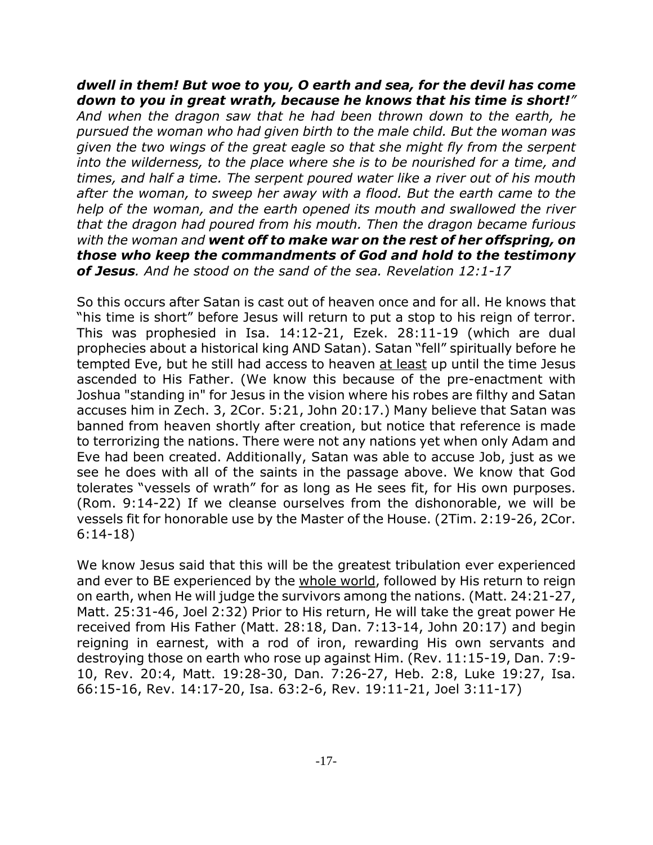*dwell in them! But woe to you, O earth and sea, for the devil has come down to you in great wrath, because he knows that his time is short!" And when the dragon saw that he had been thrown down to the earth, he pursued the woman who had given birth to the male child. But the woman was given the two wings of the great eagle so that she might fly from the serpent into the wilderness, to the place where she is to be nourished for a time, and times, and half a time. The serpent poured water like a river out of his mouth after the woman, to sweep her away with a flood. But the earth came to the help of the woman, and the earth opened its mouth and swallowed the river that the dragon had poured from his mouth. Then the dragon became furious with the woman and went off to make war on the rest of her offspring, on those who keep the commandments of God and hold to the testimony of Jesus. And he stood on the sand of the sea. Revelation 12:1-17*

So this occurs after Satan is cast out of heaven once and for all. He knows that "his time is short" before Jesus will return to put a stop to his reign of terror. This was prophesied in Isa. 14:12-21, Ezek. 28:11-19 (which are dual prophecies about a historical king AND Satan). Satan "fell" spiritually before he tempted Eve, but he still had access to heaven at least up until the time Jesus ascended to His Father. (We know this because of the pre-enactment with Joshua "standing in" for Jesus in the vision where his robes are filthy and Satan accuses him in Zech. 3, 2Cor. 5:21, John 20:17.) Many believe that Satan was banned from heaven shortly after creation, but notice that reference is made to terrorizing the nations. There were not any nations yet when only Adam and Eve had been created. Additionally, Satan was able to accuse Job, just as we see he does with all of the saints in the passage above. We know that God tolerates "vessels of wrath" for as long as He sees fit, for His own purposes. (Rom. 9:14-22) If we cleanse ourselves from the dishonorable, we will be vessels fit for honorable use by the Master of the House. (2Tim. 2:19-26, 2Cor. 6:14-18)

We know Jesus said that this will be the greatest tribulation ever experienced and ever to BE experienced by the whole world, followed by His return to reign on earth, when He will judge the survivors among the nations. (Matt. 24:21-27, Matt. 25:31-46, Joel 2:32) Prior to His return, He will take the great power He received from His Father (Matt. 28:18, Dan. 7:13-14, John 20:17) and begin reigning in earnest, with a rod of iron, rewarding His own servants and destroying those on earth who rose up against Him. (Rev. 11:15-19, Dan. 7:9- 10, Rev. 20:4, Matt. 19:28-30, Dan. 7:26-27, Heb. 2:8, Luke 19:27, Isa. 66:15-16, Rev. 14:17-20, Isa. 63:2-6, Rev. 19:11-21, Joel 3:11-17)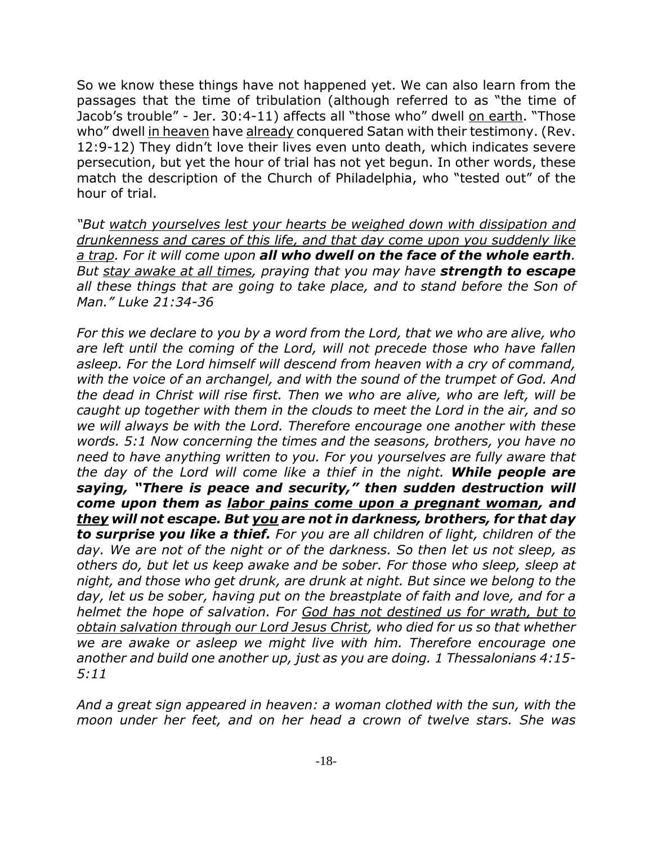So we know these things have not happened yet. We can also learn from the passages that the time of tribulation (although referred to as "the time of Jacob's trouble" - Jer. 30:4-11) affects all "those who" dwell on earth. "Those who" dwell in heaven have already conquered Satan with their testimony. (Rev. 12:9-12) They didn't love their lives even unto death, which indicates severe persecution, but yet the hour of trial has not yet begun. In other words, these match the description of the Church of Philadelphia, who "tested out" of the hour of trial.

*"But watch yourselves lest your hearts be weighed down with dissipation and drunkenness and cares of this life, and that day come upon you suddenly like a trap. For it will come upon all who dwell on the face of the whole earth. But stay awake at all times, praying that you may have strength to escape all these things that are going to take place, and to stand before the Son of Man." Luke 21:34-36*

*For this we declare to you by a word from the Lord, that we who are alive, who are left until the coming of the Lord, will not precede those who have fallen asleep. For the Lord himself will descend from heaven with a cry of command, with the voice of an archangel, and with the sound of the trumpet of God. And the dead in Christ will rise first. Then we who are alive, who are left, will be caught up together with them in the clouds to meet the Lord in the air, and so we will always be with the Lord. Therefore encourage one another with these words. 5:1 Now concerning the times and the seasons, brothers, you have no need to have anything written to you. For you yourselves are fully aware that the day of the Lord will come like a thief in the night. While people are saying, "There is peace and security," then sudden destruction will come upon them as labor pains come upon a pregnant woman, and they will not escape. But you are not in darkness, brothers, for that day to surprise you like a thief. For you are all children of light, children of the day. We are not of the night or of the darkness. So then let us not sleep, as others do, but let us keep awake and be sober. For those who sleep, sleep at night, and those who get drunk, are drunk at night. But since we belong to the day, let us be sober, having put on the breastplate of faith and love, and for a helmet the hope of salvation. For God has not destined us for wrath, but to obtain salvation through our Lord Jesus Christ, who died for us so that whether we are awake or asleep we might live with him. Therefore encourage one another and build one another up, just as you are doing. 1 Thessalonians 4:15- 5:11*

*And a great sign appeared in heaven: a woman clothed with the sun, with the moon under her feet, and on her head a crown of twelve stars. She was*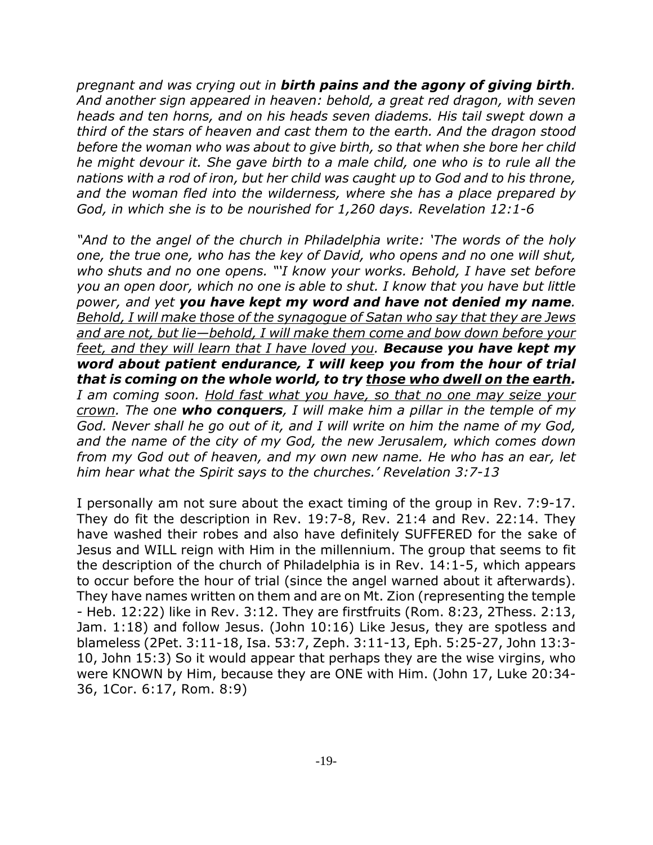*pregnant and was crying out in birth pains and the agony of giving birth. And another sign appeared in heaven: behold, a great red dragon, with seven heads and ten horns, and on his heads seven diadems. His tail swept down a third of the stars of heaven and cast them to the earth. And the dragon stood before the woman who was about to give birth, so that when she bore her child he might devour it. She gave birth to a male child, one who is to rule all the nations with a rod of iron, but her child was caught up to God and to his throne, and the woman fled into the wilderness, where she has a place prepared by God, in which she is to be nourished for 1,260 days. Revelation 12:1-6*

*"And to the angel of the church in Philadelphia write: 'The words of the holy one, the true one, who has the key of David, who opens and no one will shut, who shuts and no one opens. "'I know your works. Behold, I have set before you an open door, which no one is able to shut. I know that you have but little power, and yet you have kept my word and have not denied my name. Behold, I will make those of the synagogue of Satan who say that they are Jews and are not, but lie—behold, I will make them come and bow down before your feet, and they will learn that I have loved you. Because you have kept my word about patient endurance, I will keep you from the hour of trial that is coming on the whole world, to try those who dwell on the earth. I am coming soon. Hold fast what you have, so that no one may seize your crown. The one who conquers, I will make him a pillar in the temple of my God. Never shall he go out of it, and I will write on him the name of my God, and the name of the city of my God, the new Jerusalem, which comes down from my God out of heaven, and my own new name. He who has an ear, let him hear what the Spirit says to the churches.' Revelation 3:7-13*

I personally am not sure about the exact timing of the group in Rev. 7:9-17. They do fit the description in Rev. 19:7-8, Rev. 21:4 and Rev. 22:14. They have washed their robes and also have definitely SUFFERED for the sake of Jesus and WILL reign with Him in the millennium. The group that seems to fit the description of the church of Philadelphia is in Rev. 14:1-5, which appears to occur before the hour of trial (since the angel warned about it afterwards). They have names written on them and are on Mt. Zion (representing the temple - Heb. 12:22) like in Rev. 3:12. They are firstfruits (Rom. 8:23, 2Thess. 2:13, Jam. 1:18) and follow Jesus. (John 10:16) Like Jesus, they are spotless and blameless (2Pet. 3:11-18, Isa. 53:7, Zeph. 3:11-13, Eph. 5:25-27, John 13:3- 10, John 15:3) So it would appear that perhaps they are the wise virgins, who were KNOWN by Him, because they are ONE with Him. (John 17, Luke 20:34- 36, 1Cor. 6:17, Rom. 8:9)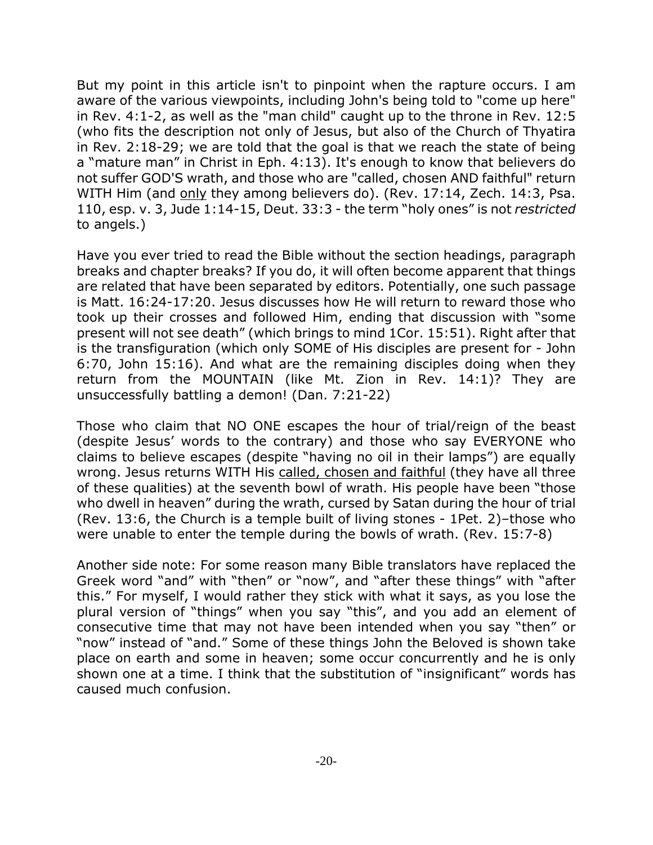But my point in this article isn't to pinpoint when the rapture occurs. I am aware of the various viewpoints, including John's being told to "come up here" in Rev. 4:1-2, as well as the "man child" caught up to the throne in Rev. 12:5 (who fits the description not only of Jesus, but also of the Church of Thyatira in Rev. 2:18-29; we are told that the goal is that we reach the state of being a "mature man" in Christ in Eph. 4:13). It's enough to know that believers do not suffer GOD'S wrath, and those who are "called, chosen AND faithful" return WITH Him (and only they among believers do). (Rev. 17:14, Zech. 14:3, Psa. 110, esp. v. 3, Jude 1:14-15, Deut. 33:3 - the term "holy ones" is not *restricted* to angels.)

Have you ever tried to read the Bible without the section headings, paragraph breaks and chapter breaks? If you do, it will often become apparent that things are related that have been separated by editors. Potentially, one such passage is Matt. 16:24-17:20. Jesus discusses how He will return to reward those who took up their crosses and followed Him, ending that discussion with "some present will not see death" (which brings to mind 1Cor. 15:51). Right after that is the transfiguration (which only SOME of His disciples are present for - John 6:70, John 15:16). And what are the remaining disciples doing when they return from the MOUNTAIN (like Mt. Zion in Rev. 14:1)? They are unsuccessfully battling a demon! (Dan. 7:21-22)

Those who claim that NO ONE escapes the hour of trial/reign of the beast (despite Jesus' words to the contrary) and those who say EVERYONE who claims to believe escapes (despite "having no oil in their lamps") are equally wrong. Jesus returns WITH His called, chosen and faithful (they have all three of these qualities) at the seventh bowl of wrath. His people have been "those who dwell in heaven" during the wrath, cursed by Satan during the hour of trial (Rev. 13:6, the Church is a temple built of living stones - 1Pet. 2)–those who were unable to enter the temple during the bowls of wrath. (Rev. 15:7-8)

Another side note: For some reason many Bible translators have replaced the Greek word "and" with "then" or "now", and "after these things" with "after this." For myself, I would rather they stick with what it says, as you lose the plural version of "things" when you say "this", and you add an element of consecutive time that may not have been intended when you say "then" or "now" instead of "and." Some of these things John the Beloved is shown take place on earth and some in heaven; some occur concurrently and he is only shown one at a time. I think that the substitution of "insignificant" words has caused much confusion.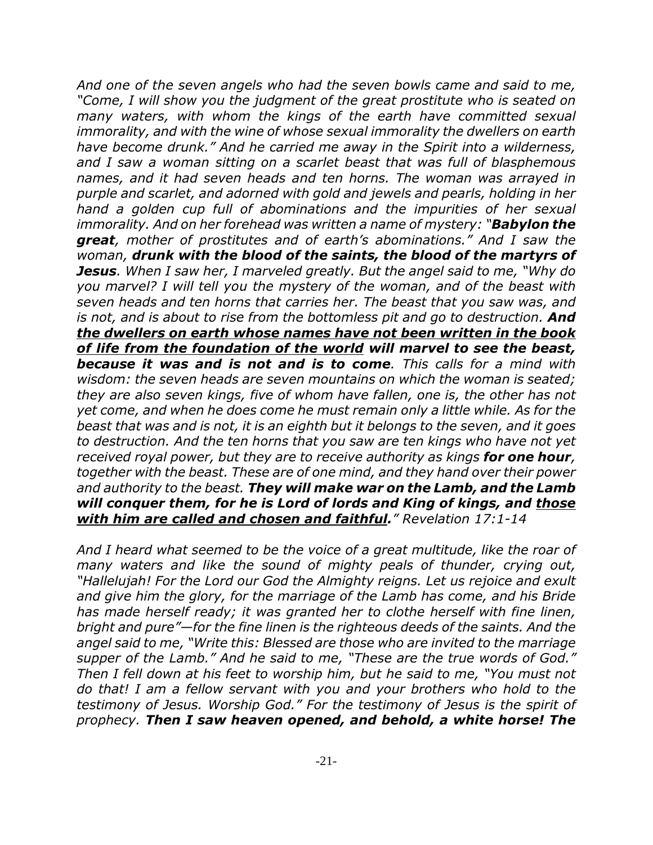*And one of the seven angels who had the seven bowls came and said to me, "Come, I will show you the judgment of the great prostitute who is seated on many waters, with whom the kings of the earth have committed sexual immorality, and with the wine of whose sexual immorality the dwellers on earth have become drunk." And he carried me away in the Spirit into a wilderness, and I saw a woman sitting on a scarlet beast that was full of blasphemous names, and it had seven heads and ten horns. The woman was arrayed in purple and scarlet, and adorned with gold and jewels and pearls, holding in her hand a golden cup full of abominations and the impurities of her sexual immorality. And on her forehead was written a name of mystery: "Babylon the great, mother of prostitutes and of earth's abominations." And I saw the woman, drunk with the blood of the saints, the blood of the martyrs of Jesus. When I saw her, I marveled greatly. But the angel said to me, "Why do you marvel? I will tell you the mystery of the woman, and of the beast with seven heads and ten horns that carries her. The beast that you saw was, and is not, and is about to rise from the bottomless pit and go to destruction.* And *the dwellers on earth whose names have not been written in the book of life from the foundation of the world will marvel to see the beast, because it was and is not and is to come. This calls for a mind with wisdom: the seven heads are seven mountains on which the woman is seated; they are also seven kings, five of whom have fallen, one is, the other has not yet come, and when he does come he must remain only a little while. As for the beast that was and is not, it is an eighth but it belongs to the seven, and it goes to destruction. And the ten horns that you saw are ten kings who have not yet received royal power, but they are to receive authority as kings for one hour, together with the beast. These are of one mind, and they hand over their power and authority to the beast. They will make war on the Lamb, and the Lamb will conquer them, for he is Lord of lords and King of kings, and those with him are called and chosen and faithful." Revelation 17:1-14*

*And I heard what seemed to be the voice of a great multitude, like the roar of many waters and like the sound of mighty peals of thunder, crying out, "Hallelujah! For the Lord our God the Almighty reigns. Let us rejoice and exult and give him the glory, for the marriage of the Lamb has come, and his Bride has made herself ready; it was granted her to clothe herself with fine linen, bright and pure"—for the fine linen is the righteous deeds of the saints. And the angel said to me, "Write this: Blessed are those who are invited to the marriage supper of the Lamb." And he said to me, "These are the true words of God." Then I fell down at his feet to worship him, but he said to me, "You must not do that! I am a fellow servant with you and your brothers who hold to the testimony of Jesus. Worship God." For the testimony of Jesus is the spirit of prophecy. Then I saw heaven opened, and behold, a white horse! The*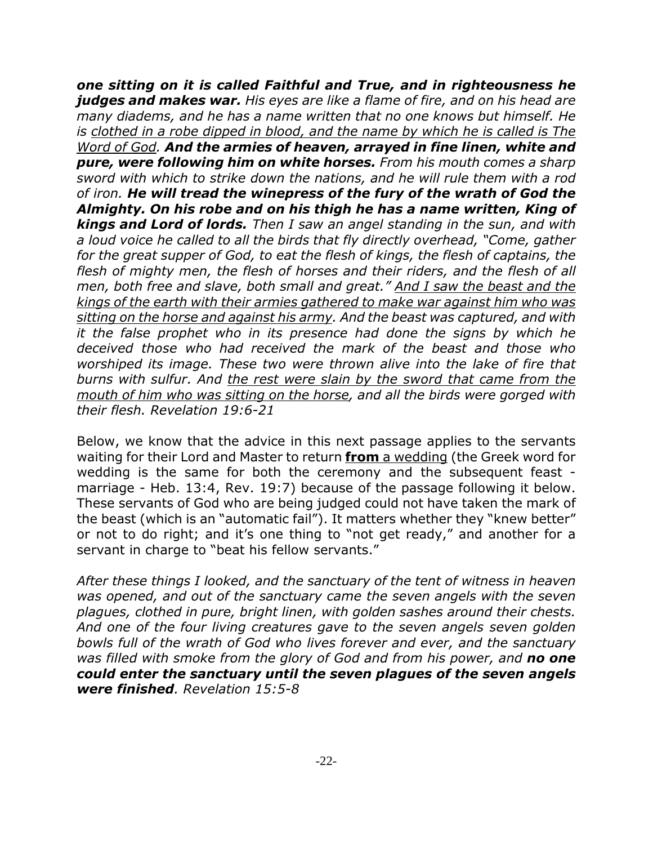*one sitting on it is called Faithful and True, and in righteousness he judges and makes war. His eyes are like a flame of fire, and on his head are many diadems, and he has a name written that no one knows but himself. He is clothed in a robe dipped in blood, and the name by which he is called is The Word of God. And the armies of heaven, arrayed in fine linen, white and pure, were following him on white horses. From his mouth comes a sharp sword with which to strike down the nations, and he will rule them with a rod of iron. He will tread the winepress of the fury of the wrath of God the Almighty. On his robe and on his thigh he has a name written, King of kings and Lord of lords. Then I saw an angel standing in the sun, and with a loud voice he called to all the birds that fly directly overhead, "Come, gather for the great supper of God, to eat the flesh of kings, the flesh of captains, the flesh of mighty men, the flesh of horses and their riders, and the flesh of all men, both free and slave, both small and great." And I saw the beast and the kings of the earth with their armies gathered to make war against him who was sitting on the horse and against his army. And the beast was captured, and with it the false prophet who in its presence had done the signs by which he deceived those who had received the mark of the beast and those who worshiped its image. These two were thrown alive into the lake of fire that burns with sulfur. And the rest were slain by the sword that came from the mouth of him who was sitting on the horse, and all the birds were gorged with their flesh. Revelation 19:6-21*

Below, we know that the advice in this next passage applies to the servants waiting for their Lord and Master to return **from** a wedding (the Greek word for wedding is the same for both the ceremony and the subsequent feast marriage - Heb. 13:4, Rev. 19:7) because of the passage following it below. These servants of God who are being judged could not have taken the mark of the beast (which is an "automatic fail"). It matters whether they "knew better" or not to do right; and it's one thing to "not get ready," and another for a servant in charge to "beat his fellow servants."

*After these things I looked, and the sanctuary of the tent of witness in heaven was opened, and out of the sanctuary came the seven angels with the seven plagues, clothed in pure, bright linen, with golden sashes around their chests. And one of the four living creatures gave to the seven angels seven golden bowls full of the wrath of God who lives forever and ever, and the sanctuary was filled with smoke from the glory of God and from his power, and no one could enter the sanctuary until the seven plagues of the seven angels were finished. Revelation 15:5-8*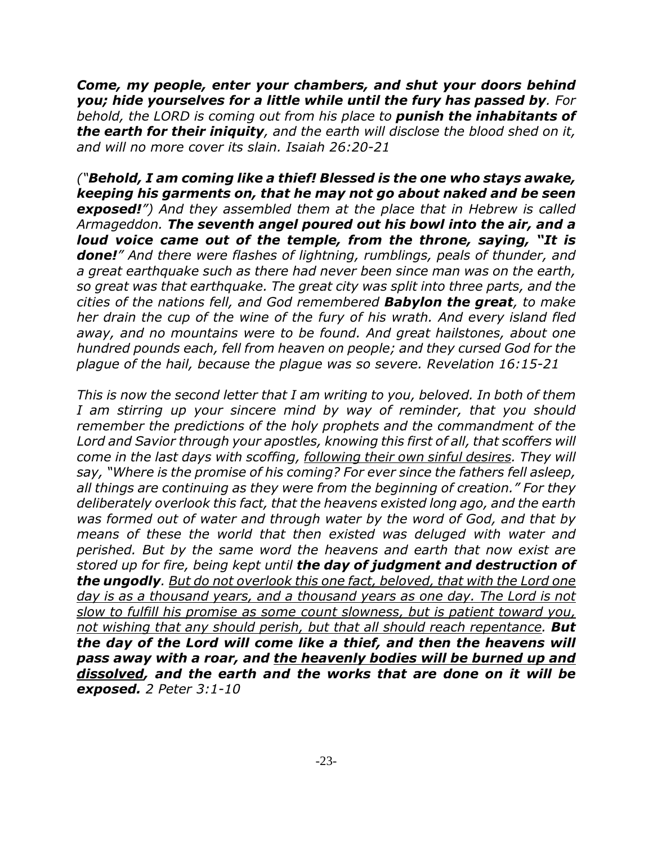*Come, my people, enter your chambers, and shut your doors behind you; hide yourselves for a little while until the fury has passed by. For behold, the LORD is coming out from his place to punish the inhabitants of the earth for their iniquity, and the earth will disclose the blood shed on it, and will no more cover its slain. Isaiah 26:20-21*

*("Behold, I am coming like a thief! Blessed is the one who stays awake, keeping his garments on, that he may not go about naked and be seen exposed!") And they assembled them at the place that in Hebrew is called Armageddon. The seventh angel poured out his bowl into the air, and a loud voice came out of the temple, from the throne, saying, "It is done!" And there were flashes of lightning, rumblings, peals of thunder, and a great earthquake such as there had never been since man was on the earth, so great was that earthquake. The great city was split into three parts, and the cities of the nations fell, and God remembered Babylon the great, to make her drain the cup of the wine of the fury of his wrath. And every island fled away, and no mountains were to be found. And great hailstones, about one hundred pounds each, fell from heaven on people; and they cursed God for the plague of the hail, because the plague was so severe. Revelation 16:15-21*

*This is now the second letter that I am writing to you, beloved. In both of them I am stirring up your sincere mind by way of reminder, that you should remember the predictions of the holy prophets and the commandment of the Lord and Savior through your apostles, knowing this first of all, that scoffers will come in the last days with scoffing, following their own sinful desires. They will say, "Where is the promise of his coming? For ever since the fathers fell asleep, all things are continuing as they were from the beginning of creation." For they deliberately overlook this fact, that the heavens existed long ago, and the earth was formed out of water and through water by the word of God, and that by means of these the world that then existed was deluged with water and perished. But by the same word the heavens and earth that now exist are stored up for fire, being kept until the day of judgment and destruction of the ungodly. But do not overlook this one fact, beloved, that with the Lord one day is as a thousand years, and a thousand years as one day. The Lord is not slow to fulfill his promise as some count slowness, but is patient toward you, not wishing that any should perish, but that all should reach repentance. But the day of the Lord will come like a thief, and then the heavens will pass away with a roar, and the heavenly bodies will be burned up and dissolved, and the earth and the works that are done on it will be exposed. 2 Peter 3:1-10*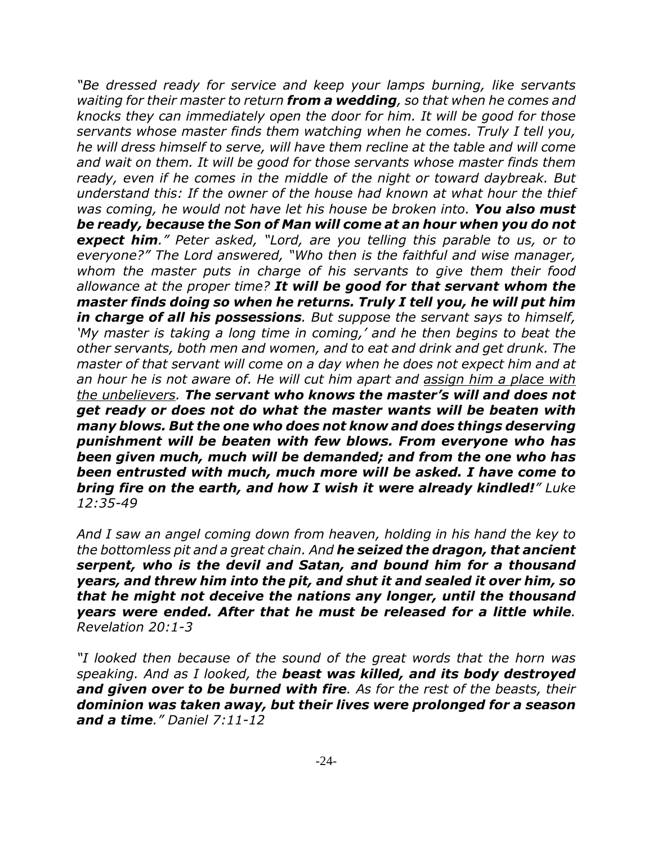*"Be dressed ready for service and keep your lamps burning, like servants waiting for their master to return from a wedding, so that when he comes and knocks they can immediately open the door for him. It will be good for those servants whose master finds them watching when he comes. Truly I tell you, he will dress himself to serve, will have them recline at the table and will come and wait on them. It will be good for those servants whose master finds them ready, even if he comes in the middle of the night or toward daybreak. But understand this: If the owner of the house had known at what hour the thief was coming, he would not have let his house be broken into. You also must be ready, because the Son of Man will come at an hour when you do not expect him." Peter asked, "Lord, are you telling this parable to us, or to everyone?" The Lord answered, "Who then is the faithful and wise manager, whom the master puts in charge of his servants to give them their food allowance at the proper time? It will be good for that servant whom the master finds doing so when he returns. Truly I tell you, he will put him in charge of all his possessions. But suppose the servant says to himself, 'My master is taking a long time in coming,' and he then begins to beat the other servants, both men and women, and to eat and drink and get drunk. The master of that servant will come on a day when he does not expect him and at an hour he is not aware of. He will cut him apart and assign him a place with the unbelievers. The servant who knows the master's will and does not get ready or does not do what the master wants will be beaten with many blows. But the one who does not know and does things deserving punishment will be beaten with few blows. From everyone who has been given much, much will be demanded; and from the one who has been entrusted with much, much more will be asked. I have come to bring fire on the earth, and how I wish it were already kindled!" Luke 12:35-49*

*And I saw an angel coming down from heaven, holding in his hand the key to the bottomless pit and a great chain. And he seized the dragon, that ancient serpent, who is the devil and Satan, and bound him for a thousand years, and threw him into the pit, and shut it and sealed it over him, so that he might not deceive the nations any longer, until the thousand years were ended. After that he must be released for a little while. Revelation 20:1-3*

*"I looked then because of the sound of the great words that the horn was speaking. And as I looked, the beast was killed, and its body destroyed and given over to be burned with fire. As for the rest of the beasts, their dominion was taken away, but their lives were prolonged for a season and a time." Daniel 7:11-12*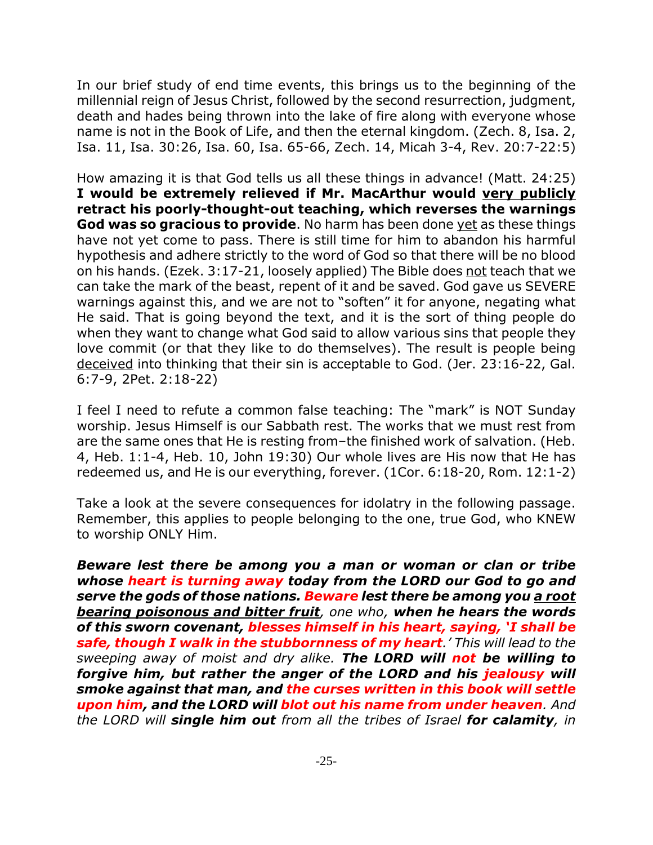In our brief study of end time events, this brings us to the beginning of the millennial reign of Jesus Christ, followed by the second resurrection, judgment, death and hades being thrown into the lake of fire along with everyone whose name is not in the Book of Life, and then the eternal kingdom. (Zech. 8, Isa. 2, Isa. 11, Isa. 30:26, Isa. 60, Isa. 65-66, Zech. 14, Micah 3-4, Rev. 20:7-22:5)

How amazing it is that God tells us all these things in advance! (Matt. 24:25) **I would be extremely relieved if Mr. MacArthur would very publicly retract his poorly-thought-out teaching, which reverses the warnings God was so gracious to provide**. No harm has been done yet as these things have not yet come to pass. There is still time for him to abandon his harmful hypothesis and adhere strictly to the word of God so that there will be no blood on his hands. (Ezek. 3:17-21, loosely applied) The Bible does not teach that we can take the mark of the beast, repent of it and be saved. God gave us SEVERE warnings against this, and we are not to "soften" it for anyone, negating what He said. That is going beyond the text, and it is the sort of thing people do when they want to change what God said to allow various sins that people they love commit (or that they like to do themselves). The result is people being deceived into thinking that their sin is acceptable to God. (Jer. 23:16-22, Gal. 6:7-9, 2Pet. 2:18-22)

I feel I need to refute a common false teaching: The "mark" is NOT Sunday worship. Jesus Himself is our Sabbath rest. The works that we must rest from are the same ones that He is resting from–the finished work of salvation. (Heb. 4, Heb. 1:1-4, Heb. 10, John 19:30) Our whole lives are His now that He has redeemed us, and He is our everything, forever. (1Cor. 6:18-20, Rom. 12:1-2)

Take a look at the severe consequences for idolatry in the following passage. Remember, this applies to people belonging to the one, true God, who KNEW to worship ONLY Him.

*Beware lest there be among you a man or woman or clan or tribe whose heart is turning away today from the LORD our God to go and serve the gods of those nations. Beware lest there be among you a root bearing poisonous and bitter fruit, one who, when he hears the words of this sworn covenant, blesses himself in his heart, saying, 'I shall be safe, though I walk in the stubbornness of my heart.' This will lead to the sweeping away of moist and dry alike. The LORD will not be willing to forgive him, but rather the anger of the LORD and his jealousy will smoke against that man, and the curses written in this book will settle upon him, and the LORD will blot out his name from under heaven. And the LORD will single him out from all the tribes of Israel for calamity, in*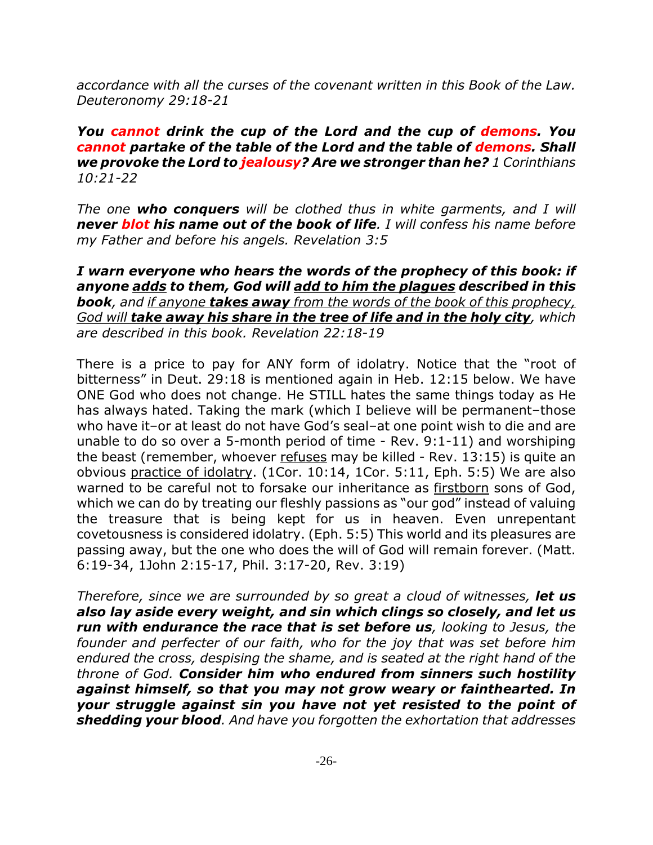*accordance with all the curses of the covenant written in this Book of the Law. Deuteronomy 29:18-21*

## *You cannot drink the cup of the Lord and the cup of demons. You cannot partake of the table of the Lord and the table of demons. Shall we provoke the Lord to jealousy? Are we stronger than he? 1 Corinthians 10:21-22*

*The one who conquers will be clothed thus in white garments, and I will never blot his name out of the book of life. I will confess his name before my Father and before his angels. Revelation 3:5*

*I warn everyone who hears the words of the prophecy of this book: if anyone adds to them, God will add to him the plagues described in this book, and if anyone takes away from the words of the book of this prophecy, God will take away his share in the tree of life and in the holy city, which are described in this book. Revelation 22:18-19*

There is a price to pay for ANY form of idolatry. Notice that the "root of bitterness" in Deut. 29:18 is mentioned again in Heb. 12:15 below. We have ONE God who does not change. He STILL hates the same things today as He has always hated. Taking the mark (which I believe will be permanent–those who have it–or at least do not have God's seal–at one point wish to die and are unable to do so over a 5-month period of time - Rev. 9:1-11) and worshiping the beast (remember, whoever refuses may be killed - Rev. 13:15) is quite an obvious practice of idolatry. (1Cor. 10:14, 1Cor. 5:11, Eph. 5:5) We are also warned to be careful not to forsake our inheritance as firstborn sons of God, which we can do by treating our fleshly passions as "our god" instead of valuing the treasure that is being kept for us in heaven. Even unrepentant covetousness is considered idolatry. (Eph. 5:5) This world and its pleasures are passing away, but the one who does the will of God will remain forever. (Matt. 6:19-34, 1John 2:15-17, Phil. 3:17-20, Rev. 3:19)

*Therefore, since we are surrounded by so great a cloud of witnesses, let us also lay aside every weight, and sin which clings so closely, and let us run with endurance the race that is set before us, looking to Jesus, the founder and perfecter of our faith, who for the joy that was set before him endured the cross, despising the shame, and is seated at the right hand of the throne of God. Consider him who endured from sinners such hostility against himself, so that you may not grow weary or fainthearted. In your struggle against sin you have not yet resisted to the point of shedding your blood. And have you forgotten the exhortation that addresses*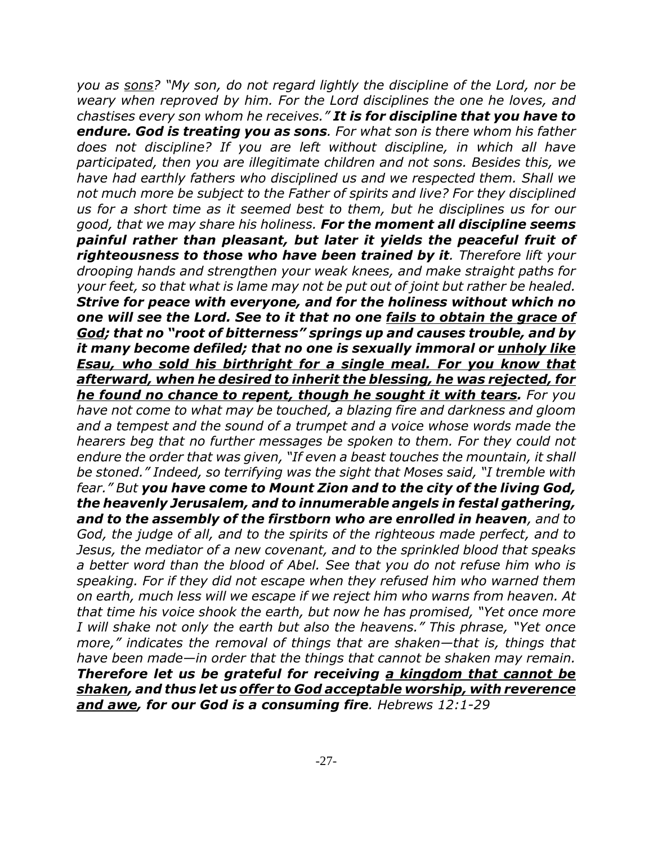*you as sons? "My son, do not regard lightly the discipline of the Lord, nor be weary when reproved by him. For the Lord disciplines the one he loves, and chastises every son whom he receives." It is for discipline that you have to endure. God is treating you as sons. For what son is there whom his father does not discipline? If you are left without discipline, in which all have participated, then you are illegitimate children and not sons. Besides this, we have had earthly fathers who disciplined us and we respected them. Shall we not much more be subject to the Father of spirits and live? For they disciplined us for a short time as it seemed best to them, but he disciplines us for our good, that we may share his holiness. For the moment all discipline seems painful rather than pleasant, but later it yields the peaceful fruit of righteousness to those who have been trained by it. Therefore lift your drooping hands and strengthen your weak knees, and make straight paths for your feet, so that what is lame may not be put out of joint but rather be healed. Strive for peace with everyone, and for the holiness without which no one will see the Lord. See to it that no one fails to obtain the grace of God; that no "root of bitterness" springs up and causes trouble, and by it many become defiled; that no one is sexually immoral or unholy like Esau, who sold his birthright for a single meal. For you know that afterward, when he desired to inherit the blessing, he was rejected, for he found no chance to repent, though he sought it with tears. For you have not come to what may be touched, a blazing fire and darkness and gloom and a tempest and the sound of a trumpet and a voice whose words made the hearers beg that no further messages be spoken to them. For they could not endure the order that was given, "If even a beast touches the mountain, it shall be stoned." Indeed, so terrifying was the sight that Moses said, "I tremble with fear." But you have come to Mount Zion and to the city of the living God, the heavenly Jerusalem, and to innumerable angels in festal gathering, and to the assembly of the firstborn who are enrolled in heaven, and to God, the judge of all, and to the spirits of the righteous made perfect, and to Jesus, the mediator of a new covenant, and to the sprinkled blood that speaks a better word than the blood of Abel. See that you do not refuse him who is speaking. For if they did not escape when they refused him who warned them on earth, much less will we escape if we reject him who warns from heaven. At that time his voice shook the earth, but now he has promised, "Yet once more I will shake not only the earth but also the heavens." This phrase, "Yet once more," indicates the removal of things that are shaken—that is, things that have been made—in order that the things that cannot be shaken may remain. Therefore let us be grateful for receiving a kingdom that cannot be shaken, and thus let us offer to God acceptable worship, with reverence and awe, for our God is a consuming fire. Hebrews 12:1-29*